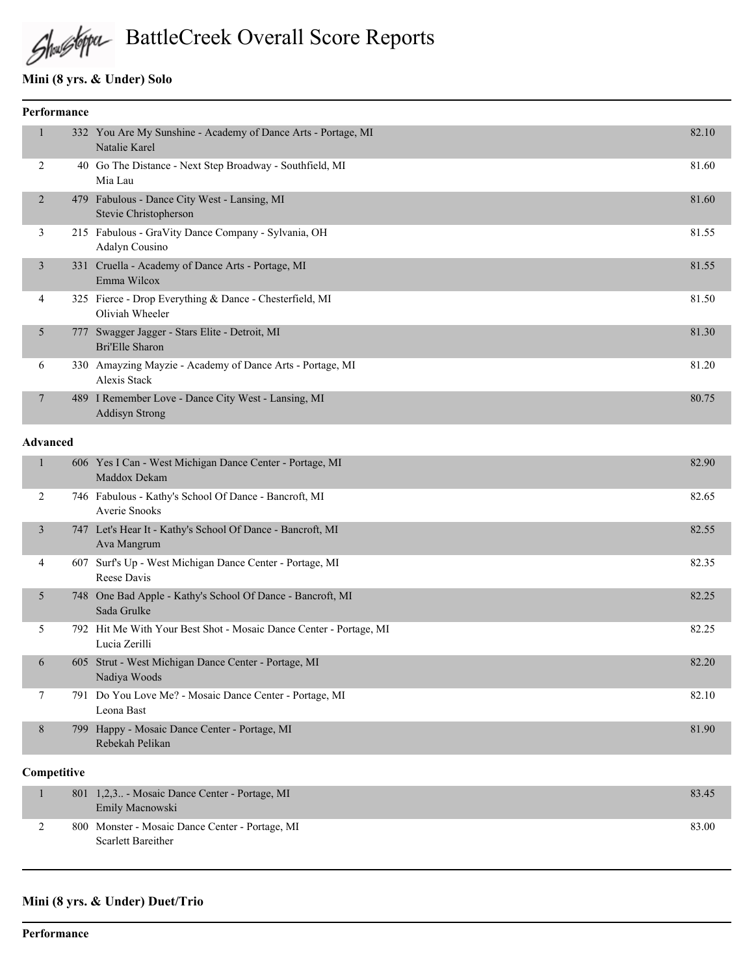

# Shustopa BattleCreek Overall Score Reports

## **Mini (8 yrs. & Under) Solo**

| Performance |                 |     |                                                                                  |       |
|-------------|-----------------|-----|----------------------------------------------------------------------------------|-------|
|             | $\mathbf{1}$    |     | 332 You Are My Sunshine - Academy of Dance Arts - Portage, MI<br>Natalie Karel   | 82.10 |
|             | 2               |     | 40 Go The Distance - Next Step Broadway - Southfield, MI<br>Mia Lau              | 81.60 |
|             | 2               |     | 479 Fabulous - Dance City West - Lansing, MI<br>Stevie Christopherson            | 81.60 |
|             | 3               |     | 215 Fabulous - GraVity Dance Company - Sylvania, OH<br>Adalyn Cousino            | 81.55 |
|             | 3               |     | 331 Cruella - Academy of Dance Arts - Portage, MI<br>Emma Wilcox                 | 81.55 |
|             | 4               |     | 325 Fierce - Drop Everything & Dance - Chesterfield, MI<br>Oliviah Wheeler       | 81.50 |
|             | 5               | 777 | Swagger Jagger - Stars Elite - Detroit, MI<br><b>Bri'Elle Sharon</b>             | 81.30 |
|             | 6               |     | 330 Amayzing Mayzie - Academy of Dance Arts - Portage, MI<br><b>Alexis Stack</b> | 81.20 |
|             | 7               |     | 489 I Remember Love - Dance City West - Lansing, MI<br><b>Addisyn Strong</b>     | 80.75 |
|             | <b>Advanced</b> |     |                                                                                  |       |
|             | $\mathbf{1}$    |     | 606 Yes I Can - West Michigan Dance Center - Portage, MI<br>Maddox Dekam         | 82.90 |
|             | 2               |     | 746 Fabulous - Kathy's School Of Dance - Bancroft, MI<br><b>Averie Snooks</b>    | 82.65 |
|             | $\overline{3}$  |     | 747 Let's Hear It - Kathy's School Of Dance - Bancroft, MI<br>Ava Mangrum        | 82.55 |
|             | 4               |     | 607 Surf's Up - West Michigan Dance Center - Portage, MI                         | 82.35 |

|        | 4                                                                    | 607 Surf's Up - West Michigan Dance Center - Portage, MI<br>Reese Davis             | 82.35 |
|--------|----------------------------------------------------------------------|-------------------------------------------------------------------------------------|-------|
|        | 5                                                                    | 748 One Bad Apple - Kathy's School Of Dance - Bancroft, MI<br>Sada Grulke           | 82.25 |
|        |                                                                      | 792 Hit Me With Your Best Shot - Mosaic Dance Center - Portage, MI<br>Lucia Zerilli | 82.25 |
| 6<br>8 | 605 Strut - West Michigan Dance Center - Portage, MI<br>Nadiya Woods | 82.20                                                                               |       |
|        |                                                                      | 791 Do You Love Me? - Mosaic Dance Center - Portage, MI<br>Leona Bast               | 82.10 |
|        |                                                                      | 799 Happy - Mosaic Dance Center - Portage, MI<br>Rebekah Pelikan                    | 81.90 |

#### **Competitive**

|  | 801 1,2,3 - Mosaic Dance Center - Portage, MI<br>Emily Macnowski             | 83.45 |
|--|------------------------------------------------------------------------------|-------|
|  | 800 Monster - Mosaic Dance Center - Portage, MI<br><b>Scarlett Bareither</b> | 83.00 |

#### **Mini (8 yrs. & Under) Duet/Trio**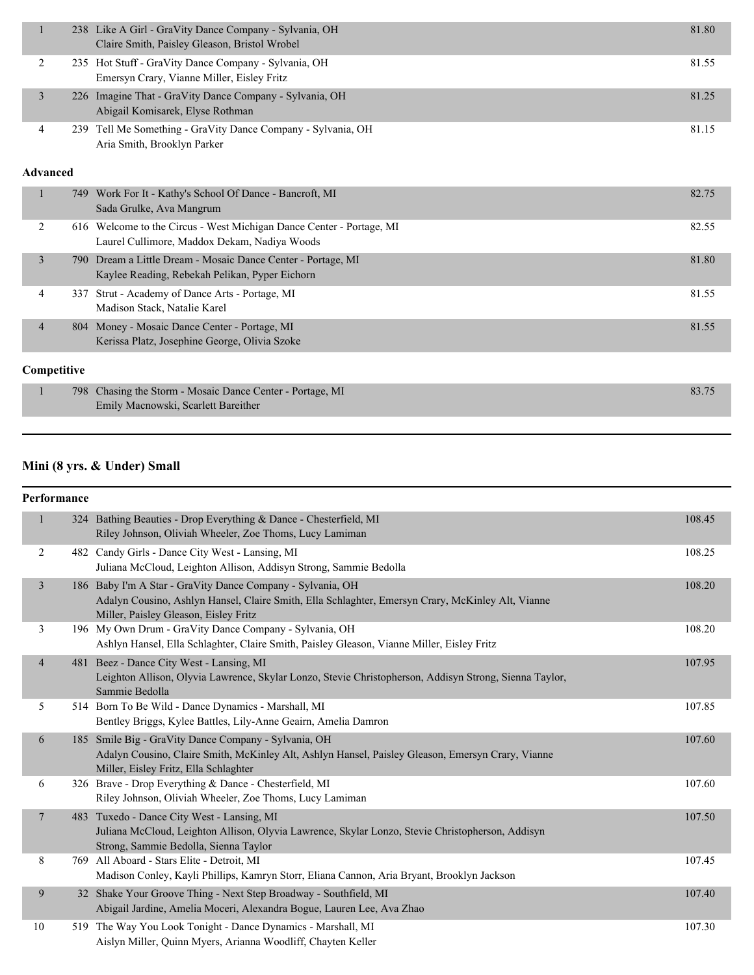|                 | 1 |     | 238 Like A Girl - GraVity Dance Company - Sylvania, OH<br>Claire Smith, Paisley Gleason, Bristol Wrobel              | 81.80 |
|-----------------|---|-----|----------------------------------------------------------------------------------------------------------------------|-------|
|                 | 2 |     | 235 Hot Stuff - GraVity Dance Company - Sylvania, OH<br>Emersyn Crary, Vianne Miller, Eisley Fritz                   | 81.55 |
|                 | 3 |     | 226 Imagine That - GraVity Dance Company - Sylvania, OH<br>Abigail Komisarek, Elyse Rothman                          | 81.25 |
|                 | 4 |     | 239 Tell Me Something - GraVity Dance Company - Sylvania, OH<br>Aria Smith, Brooklyn Parker                          | 81.15 |
| <b>Advanced</b> |   |     |                                                                                                                      |       |
|                 | 1 |     | 749 Work For It - Kathy's School Of Dance - Bancroft, MI<br>Sada Grulke, Ava Mangrum                                 | 82.75 |
|                 | 2 |     | 616 Welcome to the Circus - West Michigan Dance Center - Portage, MI<br>Laurel Cullimore, Maddox Dekam, Nadiya Woods | 82.55 |
|                 | 3 |     | 790 Dream a Little Dream - Mosaic Dance Center - Portage, MI<br>Kaylee Reading, Rebekah Pelikan, Pyper Eichorn       | 81.80 |
|                 | 4 | 337 | Strut - Academy of Dance Arts - Portage, MI<br>Madison Stack, Natalie Karel                                          | 81.55 |
|                 | 4 |     | 804 Money - Mosaic Dance Center - Portage, MI                                                                        | 81.55 |

## Kerissa Platz, Josephine George, Olivia Szoke

| Competitive |                                                           |       |
|-------------|-----------------------------------------------------------|-------|
|             | 798 Chasing the Storm - Mosaic Dance Center - Portage, MI | 83.75 |
|             | Emily Macnowski, Scarlett Bareither                       |       |

## **Mini (8 yrs. & Under) Small**

#### **Performance**

| 1              |     | 324 Bathing Beauties - Drop Everything & Dance - Chesterfield, MI                                                                          | 108.45 |
|----------------|-----|--------------------------------------------------------------------------------------------------------------------------------------------|--------|
|                |     | Riley Johnson, Oliviah Wheeler, Zoe Thoms, Lucy Lamiman                                                                                    |        |
| 2              |     | 482 Candy Girls - Dance City West - Lansing, MI                                                                                            | 108.25 |
|                |     | Juliana McCloud, Leighton Allison, Addisyn Strong, Sammie Bedolla                                                                          |        |
| $\overline{3}$ | 186 | Baby I'm A Star - GraVity Dance Company - Sylvania, OH                                                                                     | 108.20 |
|                |     | Adalyn Cousino, Ashlyn Hansel, Claire Smith, Ella Schlaghter, Emersyn Crary, McKinley Alt, Vianne                                          |        |
|                |     | Miller, Paisley Gleason, Eisley Fritz                                                                                                      |        |
| 3              |     | 196 My Own Drum - GraVity Dance Company - Sylvania, OH                                                                                     | 108.20 |
|                |     | Ashlyn Hansel, Ella Schlaghter, Claire Smith, Paisley Gleason, Vianne Miller, Eisley Fritz                                                 |        |
| $\overline{4}$ |     | 481 Beez - Dance City West - Lansing, MI                                                                                                   | 107.95 |
|                |     | Leighton Allison, Olyvia Lawrence, Skylar Lonzo, Stevie Christopherson, Addisyn Strong, Sienna Taylor,                                     |        |
|                |     | Sammie Bedolla                                                                                                                             |        |
| 5              |     | 514 Born To Be Wild - Dance Dynamics - Marshall, MI                                                                                        | 107.85 |
|                |     | Bentley Briggs, Kylee Battles, Lily-Anne Geairn, Amelia Damron                                                                             |        |
| 6              |     | 185 Smile Big - GraVity Dance Company - Sylvania, OH                                                                                       | 107.60 |
|                |     | Adalyn Cousino, Claire Smith, McKinley Alt, Ashlyn Hansel, Paisley Gleason, Emersyn Crary, Vianne<br>Miller, Eisley Fritz, Ella Schlaghter |        |
| 6              |     | 326 Brave - Drop Everything & Dance - Chesterfield, MI                                                                                     | 107.60 |
|                |     | Riley Johnson, Oliviah Wheeler, Zoe Thoms, Lucy Lamiman                                                                                    |        |
| $\overline{7}$ |     | 483 Tuxedo - Dance City West - Lansing, MI                                                                                                 | 107.50 |
|                |     | Juliana McCloud, Leighton Allison, Olyvia Lawrence, Skylar Lonzo, Stevie Christopherson, Addisyn                                           |        |
|                |     | Strong, Sammie Bedolla, Sienna Taylor                                                                                                      |        |
| 8              |     | 769 All Aboard - Stars Elite - Detroit, MI                                                                                                 | 107.45 |
|                |     | Madison Conley, Kayli Phillips, Kamryn Storr, Eliana Cannon, Aria Bryant, Brooklyn Jackson                                                 |        |
| 9              |     | 32 Shake Your Groove Thing - Next Step Broadway - Southfield, MI                                                                           | 107.40 |
|                |     | Abigail Jardine, Amelia Moceri, Alexandra Bogue, Lauren Lee, Ava Zhao                                                                      |        |
| 10             |     | 519 The Way You Look Tonight - Dance Dynamics - Marshall, MI                                                                               | 107.30 |
|                |     | Aislyn Miller, Quinn Myers, Arianna Woodliff, Chayten Keller                                                                               |        |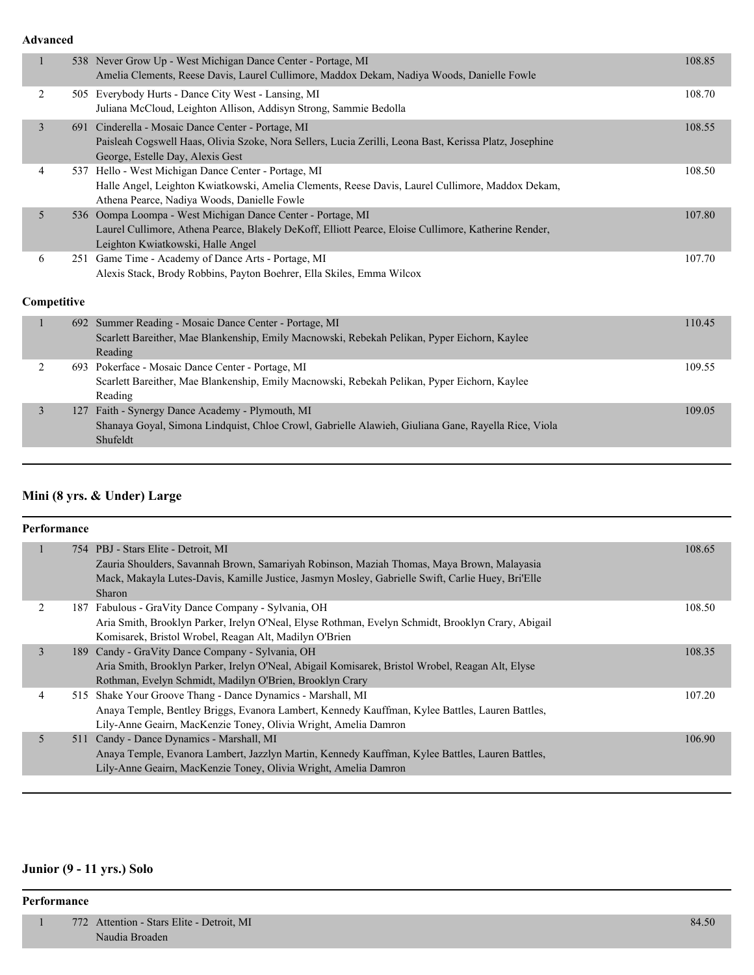**Advanced**

| $\mathbf{1}$ |             | 538 Never Grow Up - West Michigan Dance Center - Portage, MI<br>Amelia Clements, Reese Davis, Laurel Cullimore, Maddox Dekam, Nadiya Woods, Danielle Fowle                                               | 108.85 |
|--------------|-------------|----------------------------------------------------------------------------------------------------------------------------------------------------------------------------------------------------------|--------|
| 2            |             | 505 Everybody Hurts - Dance City West - Lansing, MI<br>Juliana McCloud, Leighton Allison, Addisyn Strong, Sammie Bedolla                                                                                 | 108.70 |
| 3            | 691         | Cinderella - Mosaic Dance Center - Portage, MI<br>Paisleah Cogswell Haas, Olivia Szoke, Nora Sellers, Lucia Zerilli, Leona Bast, Kerissa Platz, Josephine<br>George, Estelle Day, Alexis Gest            | 108.55 |
| 4            | 537         | Hello - West Michigan Dance Center - Portage, MI<br>Halle Angel, Leighton Kwiatkowski, Amelia Clements, Reese Davis, Laurel Cullimore, Maddox Dekam,<br>Athena Pearce, Nadiya Woods, Danielle Fowle      | 108.50 |
| 5            |             | 536 Oompa Loompa - West Michigan Dance Center - Portage, MI<br>Laurel Cullimore, Athena Pearce, Blakely DeKoff, Elliott Pearce, Eloise Cullimore, Katherine Render,<br>Leighton Kwiatkowski, Halle Angel | 107.80 |
| 6            |             | 251 Game Time - Academy of Dance Arts - Portage, MI<br>Alexis Stack, Brody Robbins, Payton Boehrer, Ella Skiles, Emma Wilcox                                                                             | 107.70 |
|              | Competitive |                                                                                                                                                                                                          |        |
| $\mathbf{1}$ |             | 692 Summer Reading - Mosaic Dance Center - Portage, MI<br>Scarlett Bareither, Mae Blankenship, Emily Macnowski, Rebekah Pelikan, Pyper Eichorn, Kaylee<br>Reading                                        | 110.45 |
| 2            |             | 693 Pokerface - Mosaic Dance Center - Portage, MI<br>Scarlett Bareither, Mae Blankenship, Emily Macnowski, Rebekah Pelikan, Pyper Eichorn, Kaylee<br>Reading                                             | 109.55 |
| 3            | 127         | Faith - Synergy Dance Academy - Plymouth, MI<br>Shanaya Goyal, Simona Lindquist, Chloe Crowl, Gabrielle Alawieh, Giuliana Gane, Rayella Rice, Viola<br>Shufeldt                                          | 109.05 |
|              |             |                                                                                                                                                                                                          |        |

## **Mini (8 yrs. & Under) Large**

| Performance    |  |                                                                                                                                                                                                                                   |  |        |
|----------------|--|-----------------------------------------------------------------------------------------------------------------------------------------------------------------------------------------------------------------------------------|--|--------|
|                |  | 754 PBJ - Stars Elite - Detroit, MI                                                                                                                                                                                               |  | 108.65 |
|                |  | Zauria Shoulders, Savannah Brown, Samariyah Robinson, Maziah Thomas, Maya Brown, Malayasia<br>Mack, Makayla Lutes-Davis, Kamille Justice, Jasmyn Mosley, Gabrielle Swift, Carlie Huey, Bri'Elle<br>Sharon                         |  |        |
| 2              |  | 187 Fabulous - GraVity Dance Company - Sylvania, OH<br>Aria Smith, Brooklyn Parker, Irelyn O'Neal, Elyse Rothman, Evelyn Schmidt, Brooklyn Crary, Abigail<br>Komisarek, Bristol Wrobel, Reagan Alt, Madilyn O'Brien               |  | 108.50 |
| $\overline{3}$ |  | 189 Candy - GraVity Dance Company - Sylvania, OH<br>Aria Smith, Brooklyn Parker, Irelyn O'Neal, Abigail Komisarek, Bristol Wrobel, Reagan Alt, Elyse<br>Rothman, Evelyn Schmidt, Madilyn O'Brien, Brooklyn Crary                  |  | 108.35 |
| 4              |  | 515 Shake Your Groove Thang - Dance Dynamics - Marshall, MI<br>Anaya Temple, Bentley Briggs, Evanora Lambert, Kennedy Kauffman, Kylee Battles, Lauren Battles,<br>Lily-Anne Geairn, MacKenzie Toney, Olivia Wright, Amelia Damron |  | 107.20 |
| 5              |  | 511 Candy - Dance Dynamics - Marshall, MI<br>Anaya Temple, Evanora Lambert, Jazzlyn Martin, Kennedy Kauffman, Kylee Battles, Lauren Battles,<br>Lily-Anne Geairn, MacKenzie Toney, Olivia Wright, Amelia Damron                   |  | 106.90 |
|                |  |                                                                                                                                                                                                                                   |  |        |

## **Junior (9 - 11 yrs.) Solo**

#### **Performance**

 1 772 Attention - Stars Elite - Detroit, MI 84.50 Naudia Broaden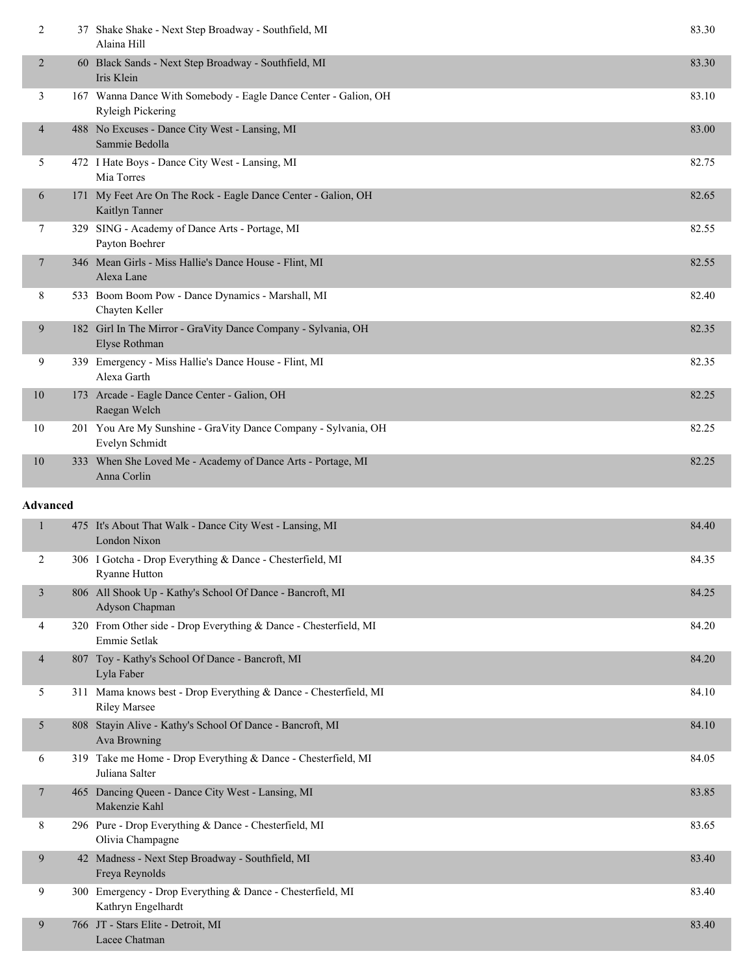| $\overline{2}$           |                 | 37 Shake Shake - Next Step Broadway - Southfield, MI<br>Alaina Hill                         | 83.30 |  |  |
|--------------------------|-----------------|---------------------------------------------------------------------------------------------|-------|--|--|
| 2                        |                 | 60 Black Sands - Next Step Broadway - Southfield, MI<br>Iris Klein                          | 83.30 |  |  |
| 3                        |                 | 167 Wanna Dance With Somebody - Eagle Dance Center - Galion, OH<br><b>Ryleigh Pickering</b> | 83.10 |  |  |
| $\overline{\mathcal{A}}$ |                 | 488 No Excuses - Dance City West - Lansing, MI<br>Sammie Bedolla                            | 83.00 |  |  |
| 5                        |                 | 472 I Hate Boys - Dance City West - Lansing, MI<br>Mia Torres                               | 82.75 |  |  |
| 6                        |                 | 171 My Feet Are On The Rock - Eagle Dance Center - Galion, OH<br>Kaitlyn Tanner             | 82.65 |  |  |
| 7                        |                 | 329 SING - Academy of Dance Arts - Portage, MI<br>Payton Boehrer                            | 82.55 |  |  |
| $\overline{\phantom{a}}$ |                 | 346 Mean Girls - Miss Hallie's Dance House - Flint, MI<br>Alexa Lane                        | 82.55 |  |  |
| 8                        |                 | 533 Boom Boom Pow - Dance Dynamics - Marshall, MI<br>Chayten Keller                         | 82.40 |  |  |
| 9                        |                 | 182 Girl In The Mirror - GraVity Dance Company - Sylvania, OH<br>Elyse Rothman              | 82.35 |  |  |
| 9                        |                 | 339 Emergency - Miss Hallie's Dance House - Flint, MI<br>Alexa Garth                        | 82.35 |  |  |
| 10                       |                 | 173 Arcade - Eagle Dance Center - Galion, OH<br>Raegan Welch                                | 82.25 |  |  |
| 10                       |                 | 201 You Are My Sunshine - GraVity Dance Company - Sylvania, OH<br>Evelyn Schmidt            | 82.25 |  |  |
| 10                       |                 | 333 When She Loved Me - Academy of Dance Arts - Portage, MI<br>Anna Corlin                  | 82.25 |  |  |
|                          | <b>Advanced</b> |                                                                                             |       |  |  |
|                          |                 |                                                                                             |       |  |  |
| 1                        |                 | 475 It's About That Walk - Dance City West - Lansing, MI<br>London Nixon                    | 84.40 |  |  |
| 2                        |                 | 306 I Gotcha - Drop Everything & Dance - Chesterfield, MI<br><b>Ryanne Hutton</b>           | 84.35 |  |  |
| 3                        |                 | 806 All Shook Up - Kathy's School Of Dance - Bancroft, MI<br>Adyson Chapman                 | 84.25 |  |  |
| 4                        |                 | 320 From Other side - Drop Everything & Dance - Chesterfield, MI<br>Emmie Setlak            | 84.20 |  |  |
| 4                        |                 | 807 Toy - Kathy's School Of Dance - Bancroft, MI<br>Lyla Faber                              | 84.20 |  |  |
| 5                        |                 | 311 Mama knows best - Drop Everything & Dance - Chesterfield, MI<br><b>Riley Marsee</b>     | 84.10 |  |  |
| 5                        |                 | 808 Stayin Alive - Kathy's School Of Dance - Bancroft, MI<br>Ava Browning                   | 84.10 |  |  |
| 6                        |                 | 319 Take me Home - Drop Everything & Dance - Chesterfield, MI<br>Juliana Salter             | 84.05 |  |  |
| $\tau$                   |                 | 465 Dancing Queen - Dance City West - Lansing, MI<br>Makenzie Kahl                          | 83.85 |  |  |
| 8                        |                 | 296 Pure - Drop Everything & Dance - Chesterfield, MI<br>Olivia Champagne                   | 83.65 |  |  |
| 9                        |                 | 42 Madness - Next Step Broadway - Southfield, MI<br>Freya Reynolds                          | 83.40 |  |  |
| 9                        |                 | 300 Emergency - Drop Everything & Dance - Chesterfield, MI<br>Kathryn Engelhardt            | 83.40 |  |  |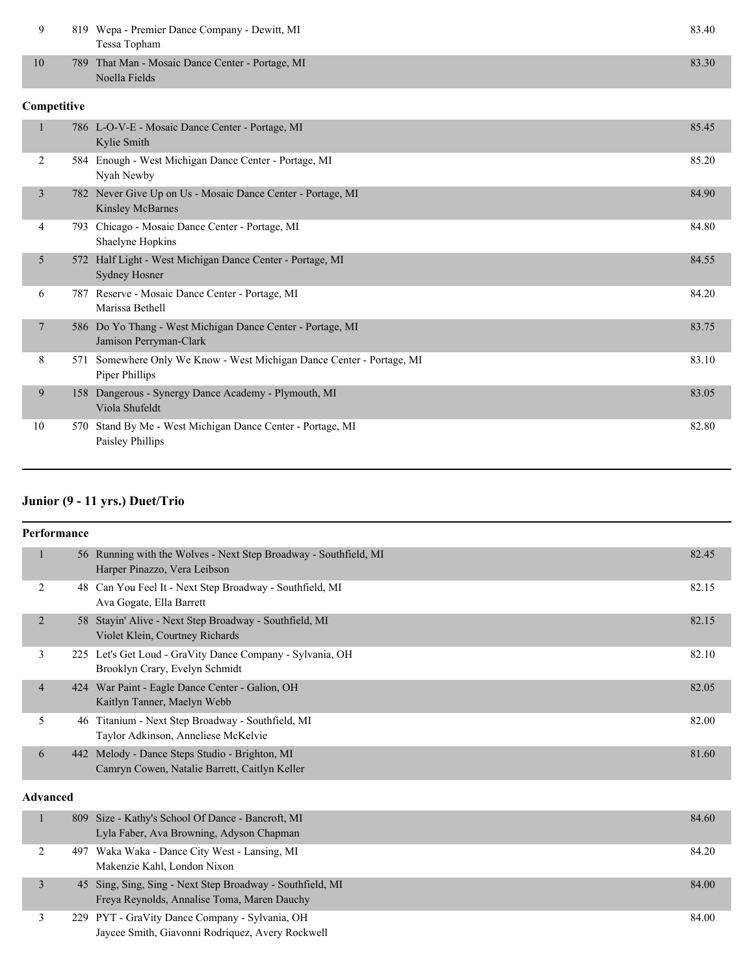| 9            |     | 819 Wepa - Premier Dance Company - Dewitt, MI<br>Tessa Topham                           | 83.40 |
|--------------|-----|-----------------------------------------------------------------------------------------|-------|
| 10           | 789 | That Man - Mosaic Dance Center - Portage, MI<br>Noella Fields                           | 83.30 |
| Competitive  |     |                                                                                         |       |
| $\mathbf{1}$ |     | 786 L-O-V-E - Mosaic Dance Center - Portage, MI<br>Kylie Smith                          | 85.45 |
| 2            |     | 584 Enough - West Michigan Dance Center - Portage, MI<br>Nyah Newby                     | 85.20 |
| 3            |     | 782 Never Give Up on Us - Mosaic Dance Center - Portage, MI<br><b>Kinsley McBarnes</b>  | 84.90 |
| 4            |     | 793 Chicago - Mosaic Dance Center - Portage, MI<br>Shaelyne Hopkins                     | 84.80 |
| 5            |     | 572 Half Light - West Michigan Dance Center - Portage, MI<br><b>Sydney Hosner</b>       | 84.55 |
| 6            |     | 787 Reserve - Mosaic Dance Center - Portage, MI<br>Marissa Bethell                      | 84.20 |
| 7            |     | 586 Do Yo Thang - West Michigan Dance Center - Portage, MI<br>Jamison Perryman-Clark    | 83.75 |
| 8            |     | 571 Somewhere Only We Know - West Michigan Dance Center - Portage, MI<br>Piper Phillips | 83.10 |
| 9            | 158 | Dangerous - Synergy Dance Academy - Plymouth, MI<br>Viola Shufeldt                      | 83.05 |
| 10           |     | 570 Stand By Me - West Michigan Dance Center - Portage, MI<br>Paisley Phillips          | 82.80 |

## **Junior (9 - 11 yrs.) Duet/Trio**

| <b>Performance</b> |    |                                                                                                  |       |  |  |
|--------------------|----|--------------------------------------------------------------------------------------------------|-------|--|--|
| $\mathbf{1}$       |    | 56 Running with the Wolves - Next Step Broadway - Southfield, MI<br>Harper Pinazzo, Vera Leibson | 82.45 |  |  |
| 2                  | 48 | Can You Feel It - Next Step Broadway - Southfield, MI<br>Ava Gogate, Ella Barrett                | 82.15 |  |  |
| 2                  |    | 58 Stayin' Alive - Next Step Broadway - Southfield, MI<br>Violet Klein, Courtney Richards        | 82.15 |  |  |
| 3                  |    | 225 Let's Get Loud - GraVity Dance Company - Sylvania, OH<br>Brooklyn Crary, Evelyn Schmidt      | 82.10 |  |  |
| $\overline{4}$     |    | 424 War Paint - Eagle Dance Center - Galion, OH<br>Kaitlyn Tanner, Maelyn Webb                   | 82.05 |  |  |
| 5                  | 46 | Titanium - Next Step Broadway - Southfield, MI<br>Taylor Adkinson, Anneliese McKelvie            | 82.00 |  |  |
| 6                  |    | 442 Melody - Dance Steps Studio - Brighton, MI<br>Camryn Cowen, Natalie Barrett, Caitlyn Keller  | 81.60 |  |  |

#### **Advanced**

| 809 Size - Kathy's School Of Dance - Bancroft, MI<br>Lyla Faber, Ava Browning, Adyson Chapman            | 84.60 |
|----------------------------------------------------------------------------------------------------------|-------|
| 497 Waka Waka - Dance City West - Lansing, MI<br>Makenzie Kahl, London Nixon                             | 84.20 |
| 45 Sing, Sing, Sing - Next Step Broadway - Southfield, MI<br>Freya Reynolds, Annalise Toma, Maren Dauchy | 84.00 |
| 229 PYT - GraVity Dance Company - Sylvania, OH<br>Jaycee Smith, Giavonni Rodriquez, Avery Rockwell       | 84.00 |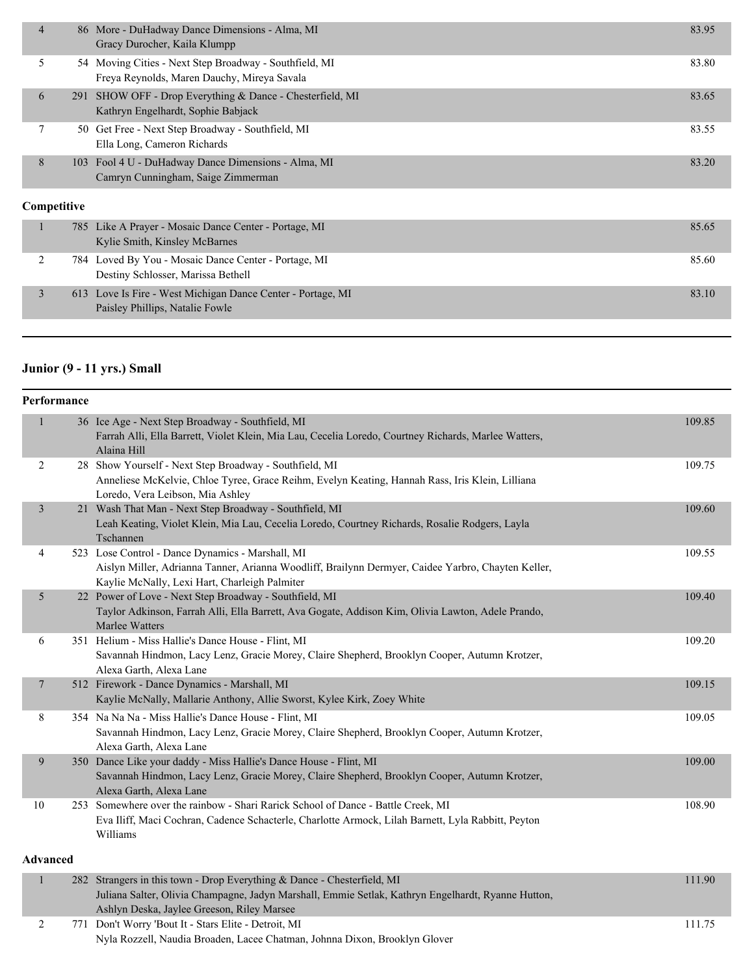| $\overline{4}$ |     | 86 More - DuHadway Dance Dimensions - Alma, MI<br>Gracy Durocher, Kaila Klumpp                        | 83.95 |
|----------------|-----|-------------------------------------------------------------------------------------------------------|-------|
| 5              |     | 54 Moving Cities - Next Step Broadway - Southfield, MI<br>Freya Reynolds, Maren Dauchy, Mireya Savala | 83.80 |
| 6              | 291 | SHOW OFF - Drop Everything & Dance - Chesterfield, MI<br>Kathryn Engelhardt, Sophie Babjack           | 83.65 |
| 7              |     | 50 Get Free - Next Step Broadway - Southfield, MI<br>Ella Long, Cameron Richards                      | 83.55 |
| 8              | 103 | Fool 4 U - DuHadway Dance Dimensions - Alma, MI<br>Camryn Cunningham, Saige Zimmerman                 | 83.20 |
| Competitive    |     |                                                                                                       |       |
|                |     | 785 Like A Prayer - Mosaic Dance Center - Portage, MI<br>Kylie Smith, Kinsley McBarnes                | 85.65 |
| 2              |     | 784 Loved By You - Mosaic Dance Center - Portage, MI<br>Destiny Schlosser, Marissa Bethell            | 85.60 |
| 3              | 613 | Love Is Fire - West Michigan Dance Center - Portage, MI<br>Paisley Phillips, Natalie Fowle            | 83.10 |

## **Junior (9 - 11 yrs.) Small**

| Performance             |                                                                                                                                                                                                                             |        |
|-------------------------|-----------------------------------------------------------------------------------------------------------------------------------------------------------------------------------------------------------------------------|--------|
|                         | 36 Ice Age - Next Step Broadway - Southfield, MI<br>Farrah Alli, Ella Barrett, Violet Klein, Mia Lau, Cecelia Loredo, Courtney Richards, Marlee Watters,<br>Alaina Hill                                                     | 109.85 |
| $\overline{2}$          | 28 Show Yourself - Next Step Broadway - Southfield, MI<br>Anneliese McKelvie, Chloe Tyree, Grace Reihm, Evelyn Keating, Hannah Rass, Iris Klein, Lilliana<br>Loredo, Vera Leibson, Mia Ashley                               | 109.75 |
| $\overline{\mathbf{3}}$ | 21 Wash That Man - Next Step Broadway - Southfield, MI<br>Leah Keating, Violet Klein, Mia Lau, Cecelia Loredo, Courtney Richards, Rosalie Rodgers, Layla<br>Tschannen                                                       | 109.60 |
| 4                       | 523 Lose Control - Dance Dynamics - Marshall, MI<br>Aislyn Miller, Adrianna Tanner, Arianna Woodliff, Brailynn Dermyer, Caidee Yarbro, Chayten Keller,<br>Kaylie McNally, Lexi Hart, Charleigh Palmiter                     | 109.55 |
| 5                       | 22 Power of Love - Next Step Broadway - Southfield, MI<br>Taylor Adkinson, Farrah Alli, Ella Barrett, Ava Gogate, Addison Kim, Olivia Lawton, Adele Prando,<br>Marlee Watters                                               | 109.40 |
| 6                       | 351 Helium - Miss Hallie's Dance House - Flint, MI<br>Savannah Hindmon, Lacy Lenz, Gracie Morey, Claire Shepherd, Brooklyn Cooper, Autumn Krotzer,<br>Alexa Garth, Alexa Lane                                               | 109.20 |
| 7                       | 512 Firework - Dance Dynamics - Marshall, MI<br>Kaylie McNally, Mallarie Anthony, Allie Sworst, Kylee Kirk, Zoey White                                                                                                      | 109.15 |
| 8                       | 354 Na Na Na - Miss Hallie's Dance House - Flint, MI<br>Savannah Hindmon, Lacy Lenz, Gracie Morey, Claire Shepherd, Brooklyn Cooper, Autumn Krotzer,<br>Alexa Garth, Alexa Lane                                             | 109.05 |
| 9                       | 350 Dance Like your daddy - Miss Hallie's Dance House - Flint, MI<br>Savannah Hindmon, Lacy Lenz, Gracie Morey, Claire Shepherd, Brooklyn Cooper, Autumn Krotzer,<br>Alexa Garth, Alexa Lane                                | 109.00 |
| 10                      | 253 Somewhere over the rainbow - Shari Rarick School of Dance - Battle Creek, MI<br>Eva Iliff, Maci Cochran, Cadence Schacterle, Charlotte Armock, Lilah Barnett, Lyla Rabbitt, Peyton<br>Williams                          | 108.90 |
| <b>Advanced</b>         |                                                                                                                                                                                                                             |        |
| 1                       | 282 Strangers in this town - Drop Everything & Dance - Chesterfield, MI<br>Juliana Salter, Olivia Champagne, Jadyn Marshall, Emmie Setlak, Kathryn Engelhardt, Ryanne Hutton,<br>Ashlyn Deska, Jaylee Greeson, Riley Marsee | 111.90 |
| 2                       | 771 Don't Worry 'Bout It - Stars Elite - Detroit, MI                                                                                                                                                                        | 111.75 |

Nyla Rozzell, Naudia Broaden, Lacee Chatman, Johnna Dixon, Brooklyn Glover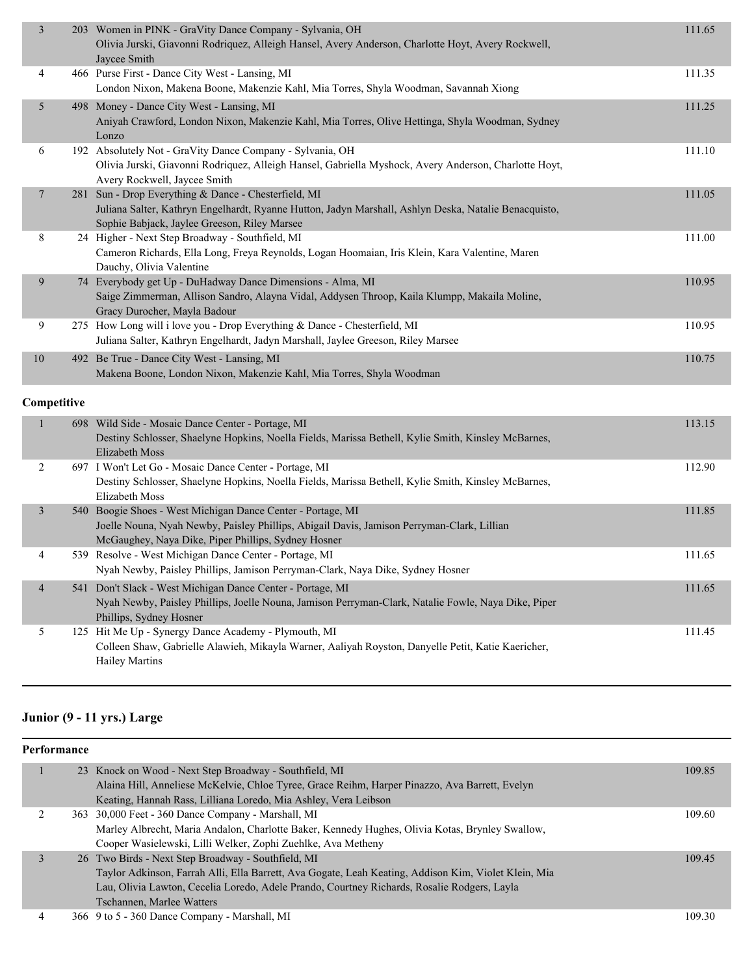| 3              | 203 Women in PINK - GraVity Dance Company - Sylvania, OH<br>Olivia Jurski, Giavonni Rodriquez, Alleigh Hansel, Avery Anderson, Charlotte Hoyt, Avery Rockwell,<br>Jaycee Smith                                   | 111.65 |
|----------------|------------------------------------------------------------------------------------------------------------------------------------------------------------------------------------------------------------------|--------|
| 4              | 466 Purse First - Dance City West - Lansing, MI<br>London Nixon, Makena Boone, Makenzie Kahl, Mia Torres, Shyla Woodman, Savannah Xiong                                                                          | 111.35 |
| 5              | 498 Money - Dance City West - Lansing, MI<br>Aniyah Crawford, London Nixon, Makenzie Kahl, Mia Torres, Olive Hettinga, Shyla Woodman, Sydney<br>Lonzo                                                            | 111.25 |
| 6              | 192 Absolutely Not - GraVity Dance Company - Sylvania, OH<br>Olivia Jurski, Giavonni Rodriquez, Alleigh Hansel, Gabriella Myshock, Avery Anderson, Charlotte Hoyt,<br>Avery Rockwell, Jaycee Smith               | 111.10 |
| $\overline{7}$ | 281 Sun - Drop Everything & Dance - Chesterfield, MI<br>Juliana Salter, Kathryn Engelhardt, Ryanne Hutton, Jadyn Marshall, Ashlyn Deska, Natalie Benacquisto,<br>Sophie Babjack, Jaylee Greeson, Riley Marsee    | 111.05 |
| 8              | 24 Higher - Next Step Broadway - Southfield, MI<br>Cameron Richards, Ella Long, Freya Reynolds, Logan Hoomaian, Iris Klein, Kara Valentine, Maren<br>Dauchy, Olivia Valentine                                    | 111.00 |
| 9              | 74 Everybody get Up - DuHadway Dance Dimensions - Alma, MI<br>Saige Zimmerman, Allison Sandro, Alayna Vidal, Addysen Throop, Kaila Klumpp, Makaila Moline,<br>Gracy Durocher, Mayla Badour                       | 110.95 |
| 9              | 275 How Long will i love you - Drop Everything & Dance - Chesterfield, MI<br>Juliana Salter, Kathryn Engelhardt, Jadyn Marshall, Jaylee Greeson, Riley Marsee                                                    | 110.95 |
| $10\,$         | 492 Be True - Dance City West - Lansing, MI<br>Makena Boone, London Nixon, Makenzie Kahl, Mia Torres, Shyla Woodman                                                                                              | 110.75 |
| Competitive    |                                                                                                                                                                                                                  |        |
| $\mathbf{1}$   | 698 Wild Side - Mosaic Dance Center - Portage, MI<br>Destiny Schlosser, Shaelyne Hopkins, Noella Fields, Marissa Bethell, Kylie Smith, Kinsley McBarnes,<br>Elizabeth Moss                                       | 113.15 |
| 2              | 697 I Won't Let Go - Mosaic Dance Center - Portage, MI<br>Destiny Schlosser, Shaelyne Hopkins, Noella Fields, Marissa Bethell, Kylie Smith, Kinsley McBarnes,<br>Elizabeth Moss                                  | 112.90 |
| $\mathfrak{Z}$ | 540 Boogie Shoes - West Michigan Dance Center - Portage, MI<br>Joelle Nouna, Nyah Newby, Paisley Phillips, Abigail Davis, Jamison Perryman-Clark, Lillian<br>McGaughey, Naya Dike, Piper Phillips, Sydney Hosner | 111.85 |
| 4              | 539 Resolve - West Michigan Dance Center - Portage, MI<br>Nyah Newby, Paisley Phillips, Jamison Perryman-Clark, Naya Dike, Sydney Hosner                                                                         | 111.65 |
| $\overline{4}$ | 541 Don't Slack - West Michigan Dance Center - Portage, MI<br>Nyah Newby, Paisley Phillips, Joelle Nouna, Jamison Perryman-Clark, Natalie Fowle, Naya Dike, Piper<br>Phillips, Sydney Hosner                     | 111.65 |
| 5              | 125 Hit Me Up - Synergy Dance Academy - Plymouth, MI<br>Colleen Shaw, Gabrielle Alawieh, Mikayla Warner, Aaliyah Royston, Danyelle Petit, Katie Kaericher,<br><b>Hailey Martins</b>                              | 111.45 |

## **Junior (9 - 11 yrs.) Large**

| Performance |  |                                                                                                                                                          |        |  |
|-------------|--|----------------------------------------------------------------------------------------------------------------------------------------------------------|--------|--|
|             |  | 23 Knock on Wood - Next Step Broadway - Southfield, MI<br>Alaina Hill, Anneliese McKelvie, Chloe Tyree, Grace Reihm, Harper Pinazzo, Ava Barrett, Evelyn | 109.85 |  |
|             |  | Keating, Hannah Rass, Lilliana Loredo, Mia Ashley, Vera Leibson                                                                                          |        |  |
|             |  | 363 30,000 Feet - 360 Dance Company - Marshall, MI                                                                                                       | 109.60 |  |
|             |  | Marley Albrecht, Maria Andalon, Charlotte Baker, Kennedy Hughes, Olivia Kotas, Brynley Swallow,                                                          |        |  |
|             |  | Cooper Wasielewski, Lilli Welker, Zophi Zuehlke, Ava Metheny                                                                                             |        |  |
|             |  | 26 Two Birds - Next Step Broadway - Southfield, MI                                                                                                       | 109.45 |  |
|             |  | Taylor Adkinson, Farrah Alli, Ella Barrett, Ava Gogate, Leah Keating, Addison Kim, Violet Klein, Mia                                                     |        |  |
|             |  | Lau, Olivia Lawton, Cecelia Loredo, Adele Prando, Courtney Richards, Rosalie Rodgers, Layla                                                              |        |  |
|             |  | Tschannen, Marlee Watters                                                                                                                                |        |  |
|             |  |                                                                                                                                                          |        |  |

4 366 9 to 5 - 360 Dance Company - Marshall, MI 109.30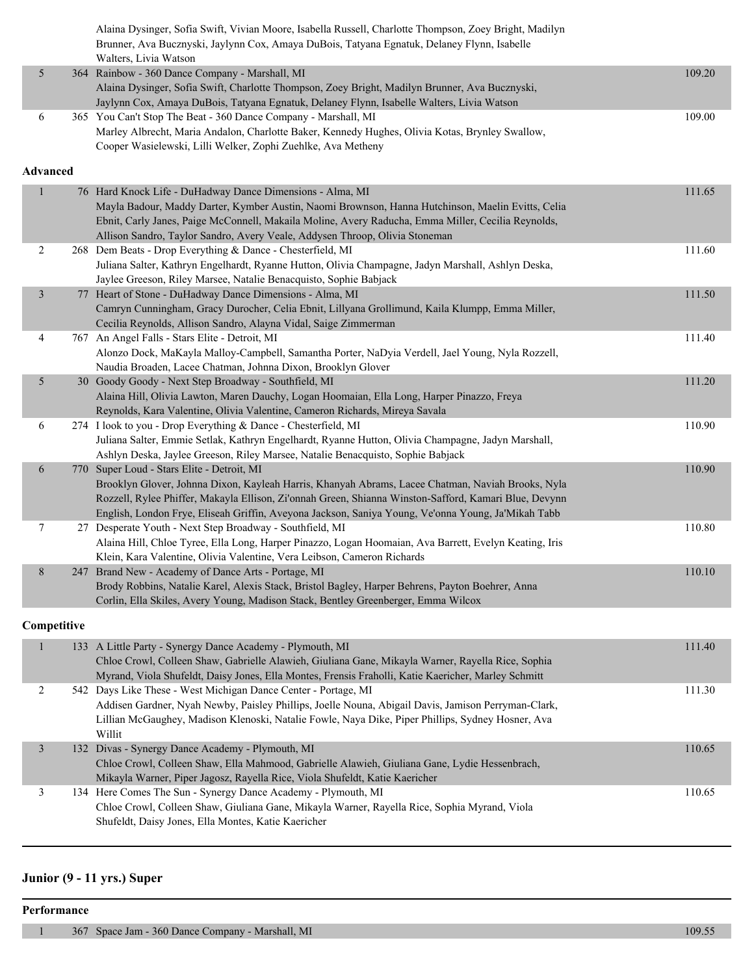|                 | Alaina Dysinger, Sofia Swift, Vivian Moore, Isabella Russell, Charlotte Thompson, Zoey Bright, Madilyn<br>Brunner, Ava Bucznyski, Jaylynn Cox, Amaya DuBois, Tatyana Egnatuk, Delaney Flynn, Isabelle<br>Walters, Livia Watson                                                                                                                                 |        |
|-----------------|----------------------------------------------------------------------------------------------------------------------------------------------------------------------------------------------------------------------------------------------------------------------------------------------------------------------------------------------------------------|--------|
| 5               | 364 Rainbow - 360 Dance Company - Marshall, MI<br>Alaina Dysinger, Sofia Swift, Charlotte Thompson, Zoey Bright, Madilyn Brunner, Ava Bucznyski,<br>Jaylynn Cox, Amaya DuBois, Tatyana Egnatuk, Delaney Flynn, Isabelle Walters, Livia Watson                                                                                                                  | 109.20 |
| 6               | 365 You Can't Stop The Beat - 360 Dance Company - Marshall, MI<br>Marley Albrecht, Maria Andalon, Charlotte Baker, Kennedy Hughes, Olivia Kotas, Brynley Swallow,<br>Cooper Wasielewski, Lilli Welker, Zophi Zuehlke, Ava Metheny                                                                                                                              | 109.00 |
| <b>Advanced</b> |                                                                                                                                                                                                                                                                                                                                                                |        |
| $\mathbf{1}$    | 76 Hard Knock Life - DuHadway Dance Dimensions - Alma, MI<br>Mayla Badour, Maddy Darter, Kymber Austin, Naomi Brownson, Hanna Hutchinson, Maelin Evitts, Celia<br>Ebnit, Carly Janes, Paige McConnell, Makaila Moline, Avery Raducha, Emma Miller, Cecilia Reynolds,<br>Allison Sandro, Taylor Sandro, Avery Veale, Addysen Throop, Olivia Stoneman            | 111.65 |
| $\overline{c}$  | 268 Dem Beats - Drop Everything & Dance - Chesterfield, MI<br>Juliana Salter, Kathryn Engelhardt, Ryanne Hutton, Olivia Champagne, Jadyn Marshall, Ashlyn Deska,<br>Jaylee Greeson, Riley Marsee, Natalie Benacquisto, Sophie Babjack                                                                                                                          | 111.60 |
| $\mathfrak{Z}$  | 77 Heart of Stone - DuHadway Dance Dimensions - Alma, MI<br>Camryn Cunningham, Gracy Durocher, Celia Ebnit, Lillyana Grollimund, Kaila Klumpp, Emma Miller,<br>Cecilia Reynolds, Allison Sandro, Alayna Vidal, Saige Zimmerman                                                                                                                                 | 111.50 |
| 4               | 767 An Angel Falls - Stars Elite - Detroit, MI<br>Alonzo Dock, MaKayla Malloy-Campbell, Samantha Porter, NaDyia Verdell, Jael Young, Nyla Rozzell,<br>Naudia Broaden, Lacee Chatman, Johnna Dixon, Brooklyn Glover                                                                                                                                             | 111.40 |
| 5               | 30 Goody Goody - Next Step Broadway - Southfield, MI<br>Alaina Hill, Olivia Lawton, Maren Dauchy, Logan Hoomaian, Ella Long, Harper Pinazzo, Freya<br>Reynolds, Kara Valentine, Olivia Valentine, Cameron Richards, Mireya Savala                                                                                                                              | 111.20 |
| 6               | 274 I look to you - Drop Everything & Dance - Chesterfield, MI<br>Juliana Salter, Emmie Setlak, Kathryn Engelhardt, Ryanne Hutton, Olivia Champagne, Jadyn Marshall,<br>Ashlyn Deska, Jaylee Greeson, Riley Marsee, Natalie Benacquisto, Sophie Babjack                                                                                                        | 110.90 |
| 6               | 770 Super Loud - Stars Elite - Detroit, MI<br>Brooklyn Glover, Johnna Dixon, Kayleah Harris, Khanyah Abrams, Lacee Chatman, Naviah Brooks, Nyla<br>Rozzell, Rylee Phiffer, Makayla Ellison, Zi'onnah Green, Shianna Winston-Safford, Kamari Blue, Devynn<br>English, London Frye, Eliseah Griffin, Aveyona Jackson, Saniya Young, Ve'onna Young, Ja'Mikah Tabb | 110.90 |
| 7               | 27 Desperate Youth - Next Step Broadway - Southfield, MI<br>Alaina Hill, Chloe Tyree, Ella Long, Harper Pinazzo, Logan Hoomaian, Ava Barrett, Evelyn Keating, Iris<br>Klein, Kara Valentine, Olivia Valentine, Vera Leibson, Cameron Richards                                                                                                                  | 110.80 |
| 8               | 247 Brand New - Academy of Dance Arts - Portage, MI<br>Brody Robbins, Natalie Karel, Alexis Stack, Bristol Bagley, Harper Behrens, Payton Boehrer, Anna<br>Corlin, Ella Skiles, Avery Young, Madison Stack, Bentley Greenberger, Emma Wilcox                                                                                                                   | 110.10 |
| Competitive     |                                                                                                                                                                                                                                                                                                                                                                |        |
| $\mathbf{1}$    | 133 A Little Party - Synergy Dance Academy - Plymouth, MI<br>Chloe Crowl, Colleen Shaw, Gabrielle Alawieh, Giuliana Gane, Mikayla Warner, Rayella Rice, Sophia<br>Myrand, Viola Shufeldt, Daisy Jones, Ella Montes, Frensis Fraholli, Katie Kaericher, Marley Schmitt                                                                                          | 111.40 |
| 2               | 542 Days Like These - West Michigan Dance Center - Portage, MI<br>Addisen Gardner, Nyah Newby, Paisley Phillips, Joelle Nouna, Abigail Davis, Jamison Perryman-Clark,<br>Lillian McGaughey, Madison Klenoski, Natalie Fowle, Naya Dike, Piper Phillips, Sydney Hosner, Ava<br>Willit                                                                           | 111.30 |
| $\mathfrak{Z}$  | 132 Divas - Synergy Dance Academy - Plymouth, MI<br>Chloe Crowl, Colleen Shaw, Ella Mahmood, Gabrielle Alawieh, Giuliana Gane, Lydie Hessenbrach,<br>Mikayla Warner, Piper Jagosz, Rayella Rice, Viola Shufeldt, Katie Kaericher                                                                                                                               | 110.65 |
| 3               | 134 Here Comes The Sun - Synergy Dance Academy - Plymouth, MI<br>Chloe Crowl, Colleen Shaw, Giuliana Gane, Mikayla Warner, Rayella Rice, Sophia Myrand, Viola<br>Shufeldt, Daisy Jones, Ella Montes, Katie Kaericher                                                                                                                                           | 110.65 |

## **Junior (9 - 11 yrs.) Super**

#### **Performance**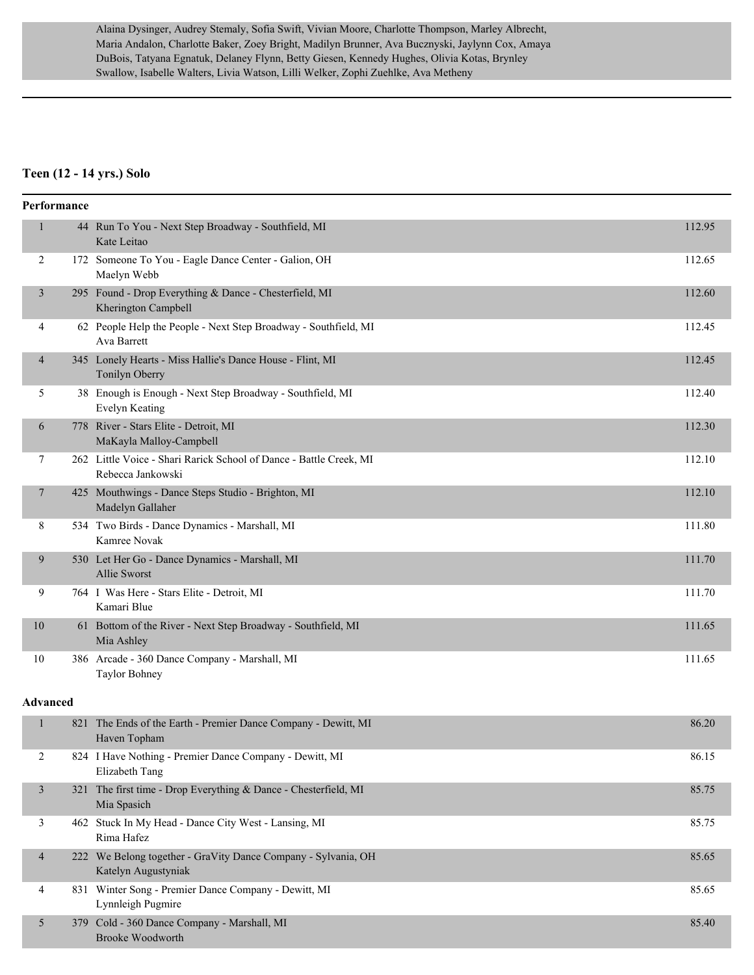Alaina Dysinger, Audrey Stemaly, Sofia Swift, Vivian Moore, Charlotte Thompson, Marley Albrecht, Maria Andalon, Charlotte Baker, Zoey Bright, Madilyn Brunner, Ava Bucznyski, Jaylynn Cox, Amaya DuBois, Tatyana Egnatuk, Delaney Flynn, Betty Giesen, Kennedy Hughes, Olivia Kotas, Brynley Swallow, Isabelle Walters, Livia Watson, Lilli Welker, Zophi Zuehlke, Ava Metheny

#### **Teen (12 - 14 yrs.) Solo**

| Performance              |     |                                                                                         |        |
|--------------------------|-----|-----------------------------------------------------------------------------------------|--------|
| $\mathbf{1}$             |     | 44 Run To You - Next Step Broadway - Southfield, MI<br>Kate Leitao                      | 112.95 |
| 2                        |     | 172 Someone To You - Eagle Dance Center - Galion, OH<br>Maelyn Webb                     | 112.65 |
| 3                        |     | 295 Found - Drop Everything & Dance - Chesterfield, MI<br>Kherington Campbell           | 112.60 |
| 4                        |     | 62 People Help the People - Next Step Broadway - Southfield, MI<br>Ava Barrett          | 112.45 |
| 4                        |     | 345 Lonely Hearts - Miss Hallie's Dance House - Flint, MI<br>Tonilyn Oberry             | 112.45 |
| 5                        |     | 38 Enough is Enough - Next Step Broadway - Southfield, MI<br><b>Evelyn Keating</b>      | 112.40 |
| 6                        |     | 778 River - Stars Elite - Detroit, MI<br>MaKayla Malloy-Campbell                        | 112.30 |
| 7                        |     | 262 Little Voice - Shari Rarick School of Dance - Battle Creek, MI<br>Rebecca Jankowski | 112.10 |
| 7                        |     | 425 Mouthwings - Dance Steps Studio - Brighton, MI<br>Madelyn Gallaher                  | 112.10 |
| 8                        |     | 534 Two Birds - Dance Dynamics - Marshall, MI<br>Kamree Novak                           | 111.80 |
| 9                        |     | 530 Let Her Go - Dance Dynamics - Marshall, MI<br><b>Allie Sworst</b>                   | 111.70 |
| 9                        |     | 764 I Was Here - Stars Elite - Detroit, MI<br>Kamari Blue                               | 111.70 |
| 10                       |     | 61 Bottom of the River - Next Step Broadway - Southfield, MI<br>Mia Ashley              | 111.65 |
| 10                       |     | 386 Arcade - 360 Dance Company - Marshall, MI<br>Taylor Bohney                          | 111.65 |
| <b>Advanced</b>          |     |                                                                                         |        |
| $\mathbf{1}$             | 821 | The Ends of the Earth - Premier Dance Company - Dewitt, MI<br>Haven Topham              | 86.20  |
| $\overline{c}$           |     | 824 I Have Nothing - Premier Dance Company - Dewitt, MI<br>Elizabeth Tang               | 86.15  |
| $\mathfrak{Z}$           |     | 321 The first time - Drop Everything & Dance - Chesterfield, MI<br>Mia Spasich          | 85.75  |
| 3                        |     | 462 Stuck In My Head - Dance City West - Lansing, MI<br>Rima Hafez                      | 85.75  |
| $\overline{\mathcal{A}}$ |     | 222 We Belong together - GraVity Dance Company - Sylvania, OH<br>Katelyn Augustyniak    | 85.65  |
| 4                        |     | 831 Winter Song - Premier Dance Company - Dewitt, MI<br>Lynnleigh Pugmire               | 85.65  |
| 5                        |     | 379 Cold - 360 Dance Company - Marshall, MI<br>Brooke Woodworth                         | 85.40  |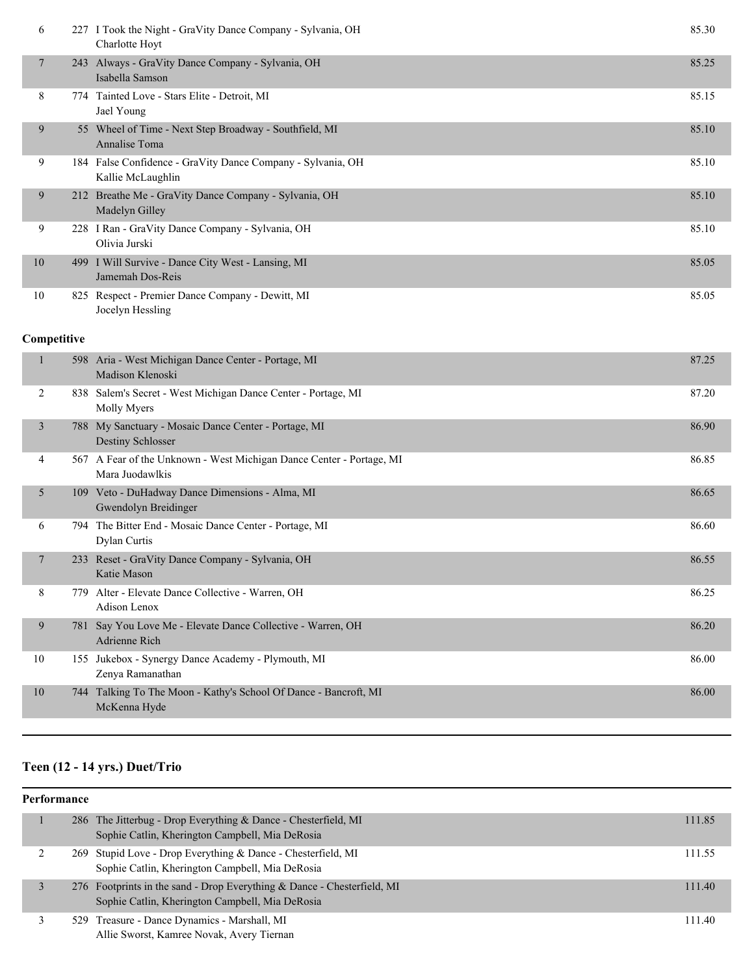| 6              | 227 I Took the Night - GraVity Dance Company - Sylvania, OH<br>Charlotte Hoyt    | 85.30 |
|----------------|----------------------------------------------------------------------------------|-------|
| $\overline{7}$ | 243 Always - GraVity Dance Company - Sylvania, OH<br>Isabella Samson             | 85.25 |
| 8              | 774 Tainted Love - Stars Elite - Detroit, MI<br>Jael Young                       | 85.15 |
| 9              | 55 Wheel of Time - Next Step Broadway - Southfield, MI<br>Annalise Toma          | 85.10 |
| 9              | 184 False Confidence - GraVity Dance Company - Sylvania, OH<br>Kallie McLaughlin | 85.10 |
| 9              | 212 Breathe Me - GraVity Dance Company - Sylvania, OH<br>Madelyn Gilley          | 85.10 |
| 9              | 228 I Ran - GraVity Dance Company - Sylvania, OH<br>Olivia Jurski                | 85.10 |
| 10             | 499 I Will Survive - Dance City West - Lansing, MI<br>Jamemah Dos-Reis           | 85.05 |
| 10             | 825 Respect - Premier Dance Company - Dewitt, MI<br>Jocelyn Hessling             | 85.05 |

#### **Competitive**

|                | 598  | Aria - West Michigan Dance Center - Portage, MI<br>Madison Klenoski                     | 87.25 |
|----------------|------|-----------------------------------------------------------------------------------------|-------|
| 2              | 838  | Salem's Secret - West Michigan Dance Center - Portage, MI<br>Molly Myers                | 87.20 |
| 3              |      | 788 My Sanctuary - Mosaic Dance Center - Portage, MI<br>Destiny Schlosser               | 86.90 |
| 4              |      | 567 A Fear of the Unknown - West Michigan Dance Center - Portage, MI<br>Mara Juodawlkis | 86.85 |
| 5              |      | 109 Veto - DuHadway Dance Dimensions - Alma, MI<br>Gwendolyn Breidinger                 | 86.65 |
| 6              |      | 794 The Bitter End - Mosaic Dance Center - Portage, MI<br>Dylan Curtis                  | 86.60 |
| $\overline{7}$ | 233  | Reset - GraVity Dance Company - Sylvania, OH<br>Katie Mason                             | 86.55 |
| 8              | 779. | Alter - Elevate Dance Collective - Warren, OH<br>Adison Lenox                           | 86.25 |
| 9              | 781  | Say You Love Me - Elevate Dance Collective - Warren, OH<br>Adrienne Rich                | 86.20 |
| 10             | 155  | Jukebox - Synergy Dance Academy - Plymouth, MI<br>Zenya Ramanathan                      | 86.00 |
| 10             | 744  | Talking To The Moon - Kathy's School Of Dance - Bancroft, MI<br>McKenna Hyde            | 86.00 |
|                |      |                                                                                         |       |

## **Teen (12 - 14 yrs.) Duet/Trio**

## **Performance** 1 286 The Jitterbug - Drop Everything & Dance - Chesterfield, MI 111.85 Sophie Catlin, Kherington Campbell, Mia DeRosia 2 269 Stupid Love - Drop Everything & Dance - Chesterfield, MI 111.55 Sophie Catlin, Kherington Campbell, Mia DeRosia 3 276 Footprints in the sand - Drop Everything & Dance - Chesterfield, MI 111.40 Sophie Catlin, Kherington Campbell, Mia DeRosia 3 529 Treasure - Dance Dynamics - Marshall, MI 111.40 Allie Sworst, Kamree Novak, Avery Tiernan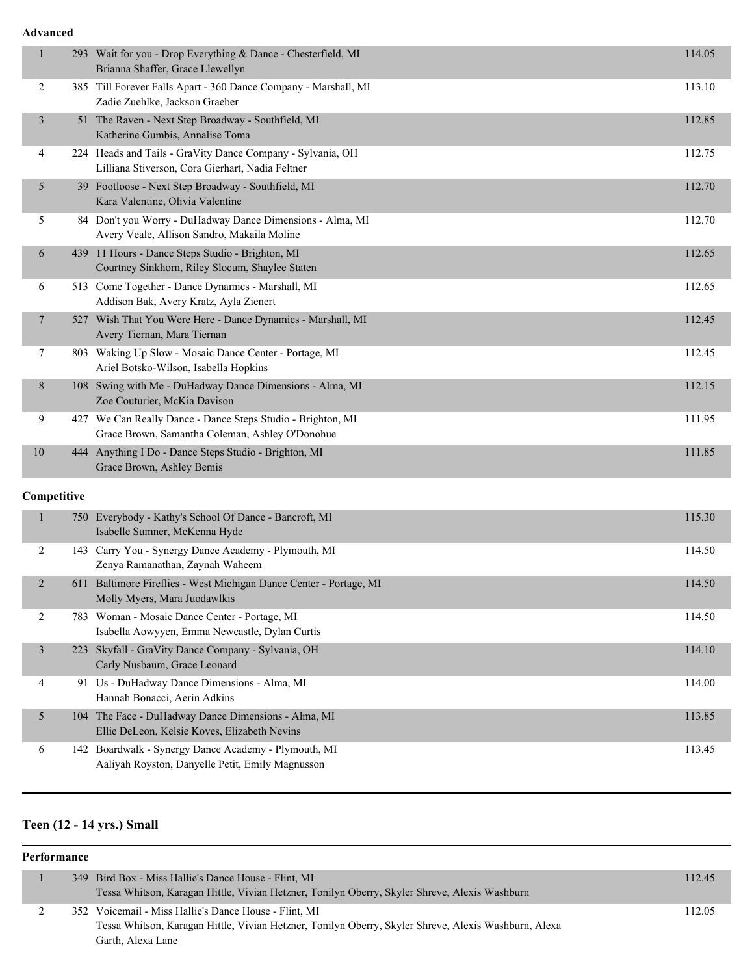#### **Advanced**

| $\mathbf{1}$   |             | 293 Wait for you - Drop Everything & Dance - Chesterfield, MI<br>Brianna Shaffer, Grace Llewellyn              | 114.05 |
|----------------|-------------|----------------------------------------------------------------------------------------------------------------|--------|
| $\overline{c}$ |             | 385 Till Forever Falls Apart - 360 Dance Company - Marshall, MI<br>Zadie Zuehlke, Jackson Graeber              | 113.10 |
| $\mathfrak{Z}$ |             | 51 The Raven - Next Step Broadway - Southfield, MI<br>Katherine Gumbis, Annalise Toma                          | 112.85 |
| 4              |             | 224 Heads and Tails - GraVity Dance Company - Sylvania, OH<br>Lilliana Stiverson, Cora Gierhart, Nadia Feltner | 112.75 |
| 5              |             | 39 Footloose - Next Step Broadway - Southfield, MI<br>Kara Valentine, Olivia Valentine                         | 112.70 |
| 5              |             | 84 Don't you Worry - DuHadway Dance Dimensions - Alma, MI<br>Avery Veale, Allison Sandro, Makaila Moline       | 112.70 |
| 6              |             | 439 11 Hours - Dance Steps Studio - Brighton, MI<br>Courtney Sinkhorn, Riley Slocum, Shaylee Staten            | 112.65 |
| 6              |             | 513 Come Together - Dance Dynamics - Marshall, MI<br>Addison Bak, Avery Kratz, Ayla Zienert                    | 112.65 |
| $\overline{7}$ |             | 527 Wish That You Were Here - Dance Dynamics - Marshall, MI<br>Avery Tiernan, Mara Tiernan                     | 112.45 |
| 7              |             | 803 Waking Up Slow - Mosaic Dance Center - Portage, MI<br>Ariel Botsko-Wilson, Isabella Hopkins                | 112.45 |
| 8              |             | 108 Swing with Me - DuHadway Dance Dimensions - Alma, MI<br>Zoe Couturier, McKia Davison                       | 112.15 |
| 9              |             | 427 We Can Really Dance - Dance Steps Studio - Brighton, MI<br>Grace Brown, Samantha Coleman, Ashley O'Donohue | 111.95 |
| 10             |             | 444 Anything I Do - Dance Steps Studio - Brighton, MI<br>Grace Brown, Ashley Bemis                             | 111.85 |
|                | Competitive |                                                                                                                |        |
| $\mathbf{1}$   |             | 750 Everybody - Kathy's School Of Dance - Bancroft, MI<br>Isabelle Sumner, McKenna Hyde                        | 115.30 |
| $\overline{2}$ |             | 143 Carry You - Synergy Dance Academy - Plymouth, MI<br>Zenya Ramanathan, Zaynah Waheem                        | 114.50 |
| $\overline{2}$ |             | 611 Baltimore Fireflies - West Michigan Dance Center - Portage, MI<br>Molly Myers, Mara Juodawlkis             | 114.50 |
| $\overline{c}$ |             | 783 Woman - Mosaic Dance Center - Portage, MI<br>Isabella Aowyyen, Emma Newcastle, Dylan Curtis                | 114.50 |
| $\mathfrak{Z}$ |             | 223 Skyfall - GraVity Dance Company - Sylvania, OH<br>Carly Nusbaum, Grace Leonard                             | 114.10 |
| $\overline{4}$ |             | 91 Us - DuHadway Dance Dimensions - Alma, MI<br>Hannah Bonacci, Aerin Adkins                                   | 114.00 |
| 5              |             | 104 The Face - DuHadway Dance Dimensions - Alma, MI<br>Ellie DeLeon, Kelsie Koves, Elizabeth Nevins            | 113.85 |
| 6              |             | 142 Boardwalk - Synergy Dance Academy - Plymouth, MI<br>Aaliyah Royston, Danyelle Petit, Emily Magnusson       | 113.45 |

## **Teen (12 - 14 yrs.) Small**

#### **Performance**

|  | 349 Bird Box - Miss Hallie's Dance House - Flint, MI                                                 | 112.45 |
|--|------------------------------------------------------------------------------------------------------|--------|
|  | Tessa Whitson, Karagan Hittle, Vivian Hetzner, Tonilyn Oberry, Skyler Shreve, Alexis Washburn        |        |
|  | 352 Voicemail - Miss Hallie's Dance House - Flint, MI                                                | 112.05 |
|  | Tessa Whitson, Karagan Hittle, Vivian Hetzner, Tonilyn Oberry, Skyler Shreve, Alexis Washburn, Alexa |        |
|  | Garth, Alexa Lane                                                                                    |        |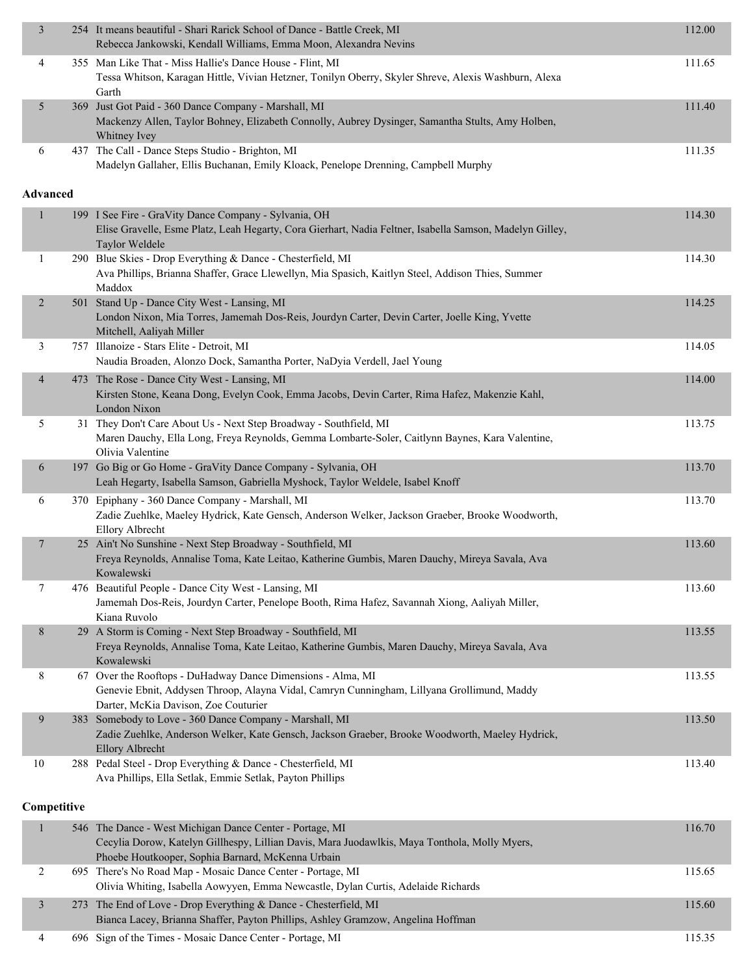| 3               | 254 It means beautiful - Shari Rarick School of Dance - Battle Creek, MI<br>Rebecca Jankowski, Kendall Williams, Emma Moon, Alexandra Nevins                                                                   | 112.00 |
|-----------------|----------------------------------------------------------------------------------------------------------------------------------------------------------------------------------------------------------------|--------|
| 4               | 355 Man Like That - Miss Hallie's Dance House - Flint, MI<br>Tessa Whitson, Karagan Hittle, Vivian Hetzner, Tonilyn Oberry, Skyler Shreve, Alexis Washburn, Alexa<br>Garth                                     | 111.65 |
| 5               | 369 Just Got Paid - 360 Dance Company - Marshall, MI<br>Mackenzy Allen, Taylor Bohney, Elizabeth Connolly, Aubrey Dysinger, Samantha Stults, Amy Holben,<br>Whitney Ivey                                       | 111.40 |
| 6               | 437 The Call - Dance Steps Studio - Brighton, MI<br>Madelyn Gallaher, Ellis Buchanan, Emily Kloack, Penelope Drenning, Campbell Murphy                                                                         | 111.35 |
| <b>Advanced</b> |                                                                                                                                                                                                                |        |
| 1               | 199 I See Fire - GraVity Dance Company - Sylvania, OH<br>Elise Gravelle, Esme Platz, Leah Hegarty, Cora Gierhart, Nadia Feltner, Isabella Samson, Madelyn Gilley,<br>Taylor Weldele                            | 114.30 |
| 1               | 290 Blue Skies - Drop Everything & Dance - Chesterfield, MI<br>Ava Phillips, Brianna Shaffer, Grace Llewellyn, Mia Spasich, Kaitlyn Steel, Addison Thies, Summer<br>Maddox                                     | 114.30 |
| $\overline{c}$  | 501 Stand Up - Dance City West - Lansing, MI<br>London Nixon, Mia Torres, Jamemah Dos-Reis, Jourdyn Carter, Devin Carter, Joelle King, Yvette<br>Mitchell, Aaliyah Miller                                      | 114.25 |
| 3               | 757 Illanoize - Stars Elite - Detroit, MI<br>Naudia Broaden, Alonzo Dock, Samantha Porter, NaDyia Verdell, Jael Young                                                                                          | 114.05 |
| $\overline{4}$  | 473 The Rose - Dance City West - Lansing, MI<br>Kirsten Stone, Keana Dong, Evelyn Cook, Emma Jacobs, Devin Carter, Rima Hafez, Makenzie Kahl,<br>London Nixon                                                  | 114.00 |
| 5               | 31 They Don't Care About Us - Next Step Broadway - Southfield, MI<br>Maren Dauchy, Ella Long, Freya Reynolds, Gemma Lombarte-Soler, Caitlynn Baynes, Kara Valentine,<br>Olivia Valentine                       | 113.75 |
| 6               | 197 Go Big or Go Home - GraVity Dance Company - Sylvania, OH<br>Leah Hegarty, Isabella Samson, Gabriella Myshock, Taylor Weldele, Isabel Knoff                                                                 | 113.70 |
| 6               | 370 Epiphany - 360 Dance Company - Marshall, MI<br>Zadie Zuehlke, Maeley Hydrick, Kate Gensch, Anderson Welker, Jackson Graeber, Brooke Woodworth,<br>Ellory Albrecht                                          | 113.70 |
| 7               | 25 Ain't No Sunshine - Next Step Broadway - Southfield, MI<br>Freya Reynolds, Annalise Toma, Kate Leitao, Katherine Gumbis, Maren Dauchy, Mireya Savala, Ava<br>Kowalewski                                     | 113.60 |
| $\tau$          | 476 Beautiful People - Dance City West - Lansing, MI<br>Jamemah Dos-Reis, Jourdyn Carter, Penelope Booth, Rima Hafez, Savannah Xiong, Aaliyah Miller,<br>Kiana Ruvolo                                          | 113.60 |
| 8               | 29 A Storm is Coming - Next Step Broadway - Southfield, MI<br>Freya Reynolds, Annalise Toma, Kate Leitao, Katherine Gumbis, Maren Dauchy, Mireya Savala, Ava<br>Kowalewski                                     | 113.55 |
| 8               | 67 Over the Rooftops - DuHadway Dance Dimensions - Alma, MI<br>Genevie Ebnit, Addysen Throop, Alayna Vidal, Camryn Cunningham, Lillyana Grollimund, Maddy<br>Darter, McKia Davison, Zoe Couturier              | 113.55 |
| 9               | 383 Somebody to Love - 360 Dance Company - Marshall, MI<br>Zadie Zuehlke, Anderson Welker, Kate Gensch, Jackson Graeber, Brooke Woodworth, Maeley Hydrick,<br><b>Ellory Albrecht</b>                           | 113.50 |
| 10              | 288 Pedal Steel - Drop Everything & Dance - Chesterfield, MI<br>Ava Phillips, Ella Setlak, Emmie Setlak, Payton Phillips                                                                                       | 113.40 |
| Competitive     |                                                                                                                                                                                                                |        |
| 1               | 546 The Dance - West Michigan Dance Center - Portage, MI<br>Cecylia Dorow, Katelyn Gillhespy, Lillian Davis, Mara Juodawlkis, Maya Tonthola, Molly Myers,<br>Phoebe Houtkooper, Sophia Barnard, McKenna Urbain | 116.70 |
| 2               | 695 There's No Road Map - Mosaic Dance Center - Portage, MI<br>Olivia Whiting, Isabella Aowyyen, Emma Newcastle, Dylan Curtis, Adelaide Richards                                                               | 115.65 |
| 3               | 273 The End of Love - Drop Everything & Dance - Chesterfield, MI<br>Bianca Lacey, Brianna Shaffer, Payton Phillips, Ashley Gramzow, Angelina Hoffman                                                           | 115.60 |

4 696 Sign of the Times - Mosaic Dance Center - Portage, MI 115.35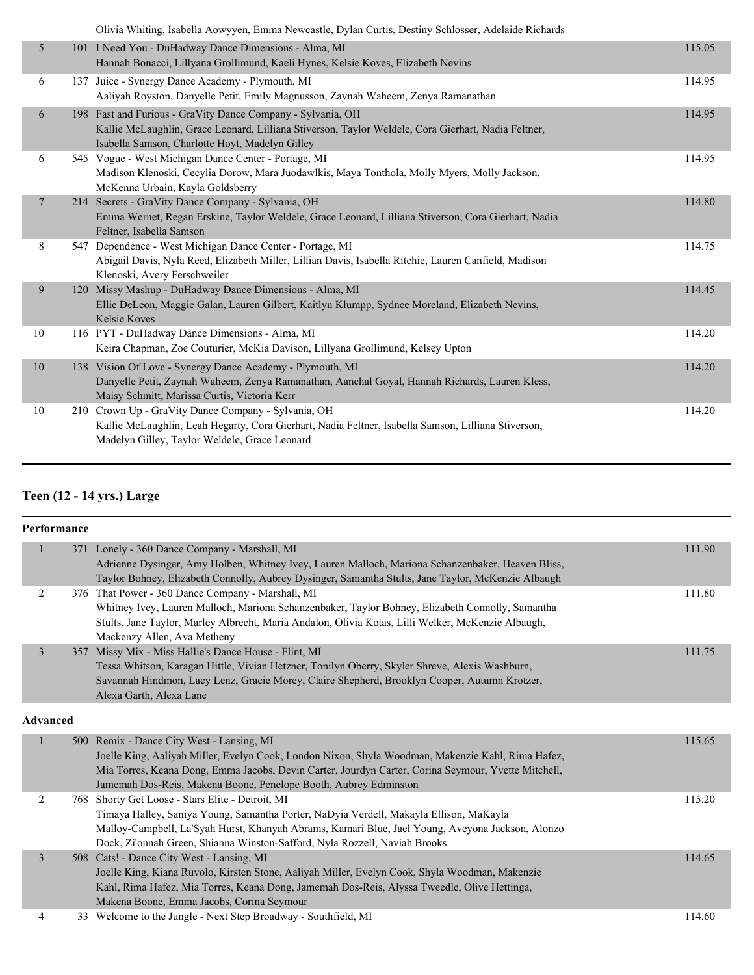|                | Olivia Whiting, Isabella Aowyyen, Emma Newcastle, Dylan Curtis, Destiny Schlosser, Adelaide Richards                                                                                                                  |        |
|----------------|-----------------------------------------------------------------------------------------------------------------------------------------------------------------------------------------------------------------------|--------|
| 5              | 101 I Need You - DuHadway Dance Dimensions - Alma, MI<br>Hannah Bonacci, Lillyana Grollimund, Kaeli Hynes, Kelsie Koves, Elizabeth Nevins                                                                             | 115.05 |
| 6              | 137 Juice - Synergy Dance Academy - Plymouth, MI<br>Aaliyah Royston, Danyelle Petit, Emily Magnusson, Zaynah Waheem, Zenya Ramanathan                                                                                 | 114.95 |
| 6              | 198 Fast and Furious - GraVity Dance Company - Sylvania, OH<br>Kallie McLaughlin, Grace Leonard, Lilliana Stiverson, Taylor Weldele, Cora Gierhart, Nadia Feltner,<br>Isabella Samson, Charlotte Hoyt, Madelyn Gilley | 114.95 |
| 6              | 545 Vogue - West Michigan Dance Center - Portage, MI<br>Madison Klenoski, Cecylia Dorow, Mara Juodawlkis, Maya Tonthola, Molly Myers, Molly Jackson,<br>McKenna Urbain, Kayla Goldsberry                              | 114.95 |
| $\overline{7}$ | 214 Secrets - GraVity Dance Company - Sylvania, OH<br>Emma Wernet, Regan Erskine, Taylor Weldele, Grace Leonard, Lilliana Stiverson, Cora Gierhart, Nadia<br>Feltner, Isabella Samson                                 | 114.80 |
| 8              | 547 Dependence - West Michigan Dance Center - Portage, MI<br>Abigail Davis, Nyla Reed, Elizabeth Miller, Lillian Davis, Isabella Ritchie, Lauren Canfield, Madison<br>Klenoski, Avery Ferschweiler                    | 114.75 |
| 9              | 120 Missy Mashup - DuHadway Dance Dimensions - Alma, MI<br>Ellie DeLeon, Maggie Galan, Lauren Gilbert, Kaitlyn Klumpp, Sydnee Moreland, Elizabeth Nevins,<br>Kelsie Koves                                             | 114.45 |
| 10             | 116 PYT - DuHadway Dance Dimensions - Alma, MI<br>Keira Chapman, Zoe Couturier, McKia Davison, Lillyana Grollimund, Kelsey Upton                                                                                      | 114.20 |
| 10             | 138 Vision Of Love - Synergy Dance Academy - Plymouth, MI<br>Danyelle Petit, Zaynah Waheem, Zenya Ramanathan, Aanchal Goyal, Hannah Richards, Lauren Kless,<br>Maisy Schmitt, Marissa Curtis, Victoria Kerr           | 114.20 |
| 10             | 210 Crown Up - GraVity Dance Company - Sylvania, OH<br>Kallie McLaughlin, Leah Hegarty, Cora Gierhart, Nadia Feltner, Isabella Samson, Lilliana Stiverson,<br>Madelyn Gilley, Taylor Weldele, Grace Leonard           | 114.20 |

## **Teen (12 - 14 yrs.) Large**

| <b>Performance</b> |                                                                                                                                                                                                                                                                                                                              |        |
|--------------------|------------------------------------------------------------------------------------------------------------------------------------------------------------------------------------------------------------------------------------------------------------------------------------------------------------------------------|--------|
| $\mathbf{1}$       | 371 Lonely - 360 Dance Company - Marshall, MI<br>Adrienne Dysinger, Amy Holben, Whitney Ivey, Lauren Malloch, Mariona Schanzenbaker, Heaven Bliss,<br>Taylor Bohney, Elizabeth Connolly, Aubrey Dysinger, Samantha Stults, Jane Taylor, McKenzie Albaugh                                                                     | 111.90 |
| 2                  | 376 That Power - 360 Dance Company - Marshall, MI<br>Whitney Ivey, Lauren Malloch, Mariona Schanzenbaker, Taylor Bohney, Elizabeth Connolly, Samantha<br>Stults, Jane Taylor, Marley Albrecht, Maria Andalon, Olivia Kotas, Lilli Welker, McKenzie Albaugh,<br>Mackenzy Allen, Ava Metheny                                   | 111.80 |
| 3                  | 357 Missy Mix - Miss Hallie's Dance House - Flint, MI<br>Tessa Whitson, Karagan Hittle, Vivian Hetzner, Tonilyn Oberry, Skyler Shreve, Alexis Washburn,<br>Savannah Hindmon, Lacy Lenz, Gracie Morey, Claire Shepherd, Brooklyn Cooper, Autumn Krotzer,<br>Alexa Garth, Alexa Lane                                           | 111.75 |
| <b>Advanced</b>    |                                                                                                                                                                                                                                                                                                                              |        |
| 1                  | 500 Remix - Dance City West - Lansing, MI<br>Joelle King, Aaliyah Miller, Evelyn Cook, London Nixon, Shyla Woodman, Makenzie Kahl, Rima Hafez,<br>Mia Torres, Keana Dong, Emma Jacobs, Devin Carter, Jourdyn Carter, Corina Seymour, Yvette Mitchell,<br>Jamemah Dos-Reis, Makena Boone, Penelope Booth, Aubrey Edminston    | 115.65 |
| 2                  | 768 Shorty Get Loose - Stars Elite - Detroit, MI<br>Timaya Halley, Saniya Young, Samantha Porter, NaDyia Verdell, Makayla Ellison, MaKayla<br>Malloy-Campbell, La'Syah Hurst, Khanyah Abrams, Kamari Blue, Jael Young, Aveyona Jackson, Alonzo<br>Dock, Zi'onnah Green, Shianna Winston-Safford, Nyla Rozzell, Naviah Brooks | 115.20 |
| $\overline{3}$     | 508 Cats! - Dance City West - Lansing, MI<br>Joelle King, Kiana Ruvolo, Kirsten Stone, Aaliyah Miller, Evelyn Cook, Shyla Woodman, Makenzie<br>Kahl, Rima Hafez, Mia Torres, Keana Dong, Jamemah Dos-Reis, Alyssa Tweedle, Olive Hettinga,<br>Makena Boone, Emma Jacobs, Corina Seymour                                      | 114.65 |
| 4                  | 33 Welcome to the Jungle - Next Step Broadway - Southfield, MI                                                                                                                                                                                                                                                               | 114.60 |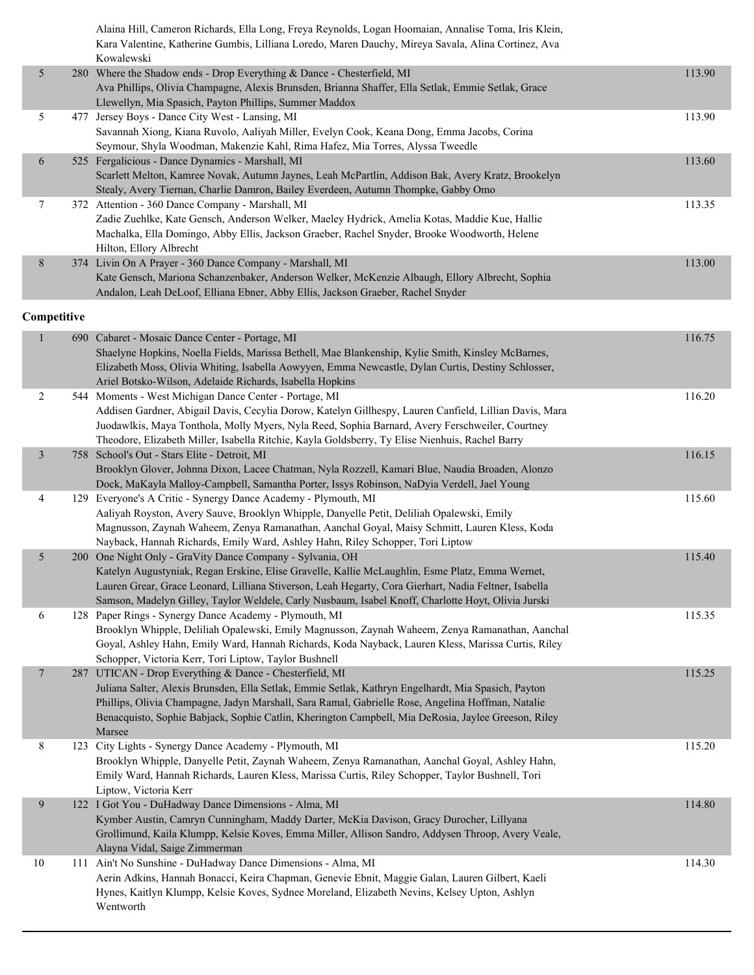|                | Alaina Hill, Cameron Richards, Ella Long, Freya Reynolds, Logan Hoomaian, Annalise Toma, Iris Klein,<br>Kara Valentine, Katherine Gumbis, Lilliana Loredo, Maren Dauchy, Mireya Savala, Alina Cortinez, Ava |        |
|----------------|-------------------------------------------------------------------------------------------------------------------------------------------------------------------------------------------------------------|--------|
|                | Kowalewski                                                                                                                                                                                                  |        |
| 5 <sup>5</sup> | 280 Where the Shadow ends - Drop Everything & Dance - Chesterfield, MI                                                                                                                                      | 113.90 |
|                | Ava Phillips, Olivia Champagne, Alexis Brunsden, Brianna Shaffer, Ella Setlak, Emmie Setlak, Grace                                                                                                          |        |
|                | Llewellyn, Mia Spasich, Payton Phillips, Summer Maddox                                                                                                                                                      |        |

|   | 477 Jersey Boys - Dance City West - Lansing, MI                                                   | 113.90 |
|---|---------------------------------------------------------------------------------------------------|--------|
|   | Savannah Xiong, Kiana Ruvolo, Aaliyah Miller, Evelyn Cook, Keana Dong, Emma Jacobs, Corina        |        |
|   | Seymour, Shyla Woodman, Makenzie Kahl, Rima Hafez, Mia Torres, Alyssa Tweedle                     |        |
| 6 | 525 Fergalicious - Dance Dynamics - Marshall, MI                                                  | 113.60 |
|   | Scarlett Melton, Kamree Novak, Autumn Jaynes, Leah McPartlin, Addison Bak, Avery Kratz, Brookelyn |        |
|   | Stealy, Avery Tiernan, Charlie Damron, Bailey Everdeen, Autumn Thompke, Gabby Omo                 |        |
|   | 372 Attention - 360 Dance Company - Marshall, MI                                                  | 113.35 |
|   | Zadie Zuehlke, Kate Gensch, Anderson Welker, Maeley Hydrick, Amelia Kotas, Maddie Kue, Hallie     |        |
|   | Machalka, Ella Domingo, Abby Ellis, Jackson Graeber, Rachel Snyder, Brooke Woodworth, Helene      |        |
|   | Hilton, Ellory Albrecht                                                                           |        |
| 8 | 374 Livin On A Prayer - 360 Dance Company - Marshall, MI                                          | 113.00 |
|   | Kate Gensch, Mariona Schanzenbaker, Anderson Welker, McKenzie Albaugh, Ellory Albrecht, Sophia    |        |
|   | Andalon, Leah DeLoof, Elliana Ebner, Abby Ellis, Jackson Graeber, Rachel Snyder                   |        |

#### **Competitive**

| $\mathbf{1}$    | 690 Cabaret - Mosaic Dance Center - Portage, MI<br>Shaelyne Hopkins, Noella Fields, Marissa Bethell, Mae Blankenship, Kylie Smith, Kinsley McBarnes,<br>Elizabeth Moss, Olivia Whiting, Isabella Aowyyen, Emma Newcastle, Dylan Curtis, Destiny Schlosser,<br>Ariel Botsko-Wilson, Adelaide Richards, Isabella Hopkins                                                               | 116.75 |
|-----------------|--------------------------------------------------------------------------------------------------------------------------------------------------------------------------------------------------------------------------------------------------------------------------------------------------------------------------------------------------------------------------------------|--------|
| $\overline{2}$  | 544 Moments - West Michigan Dance Center - Portage, MI<br>Addisen Gardner, Abigail Davis, Cecylia Dorow, Katelyn Gillhespy, Lauren Canfield, Lillian Davis, Mara<br>Juodawlkis, Maya Tonthola, Molly Myers, Nyla Reed, Sophia Barnard, Avery Ferschweiler, Courtney<br>Theodore, Elizabeth Miller, Isabella Ritchie, Kayla Goldsberry, Ty Elise Nienhuis, Rachel Barry               | 116.20 |
| $\overline{3}$  | 758 School's Out - Stars Elite - Detroit, MI<br>Brooklyn Glover, Johnna Dixon, Lacee Chatman, Nyla Rozzell, Kamari Blue, Naudia Broaden, Alonzo<br>Dock, MaKayla Malloy-Campbell, Samantha Porter, Issys Robinson, NaDyia Verdell, Jael Young                                                                                                                                        | 116.15 |
| 4               | 129 Everyone's A Critic - Synergy Dance Academy - Plymouth, MI<br>Aaliyah Royston, Avery Sauve, Brooklyn Whipple, Danyelle Petit, Deliliah Opalewski, Emily<br>Magnusson, Zaynah Waheem, Zenya Ramanathan, Aanchal Goyal, Maisy Schmitt, Lauren Kless, Koda<br>Nayback, Hannah Richards, Emily Ward, Ashley Hahn, Riley Schopper, Tori Liptow                                        | 115.60 |
| 5               | 200 One Night Only - GraVity Dance Company - Sylvania, OH<br>Katelyn Augustyniak, Regan Erskine, Elise Gravelle, Kallie McLaughlin, Esme Platz, Emma Wernet,<br>Lauren Grear, Grace Leonard, Lilliana Stiverson, Leah Hegarty, Cora Gierhart, Nadia Feltner, Isabella<br>Samson, Madelyn Gilley, Taylor Weldele, Carly Nusbaum, Isabel Knoff, Charlotte Hoyt, Olivia Jurski          | 115.40 |
| 6               | 128 Paper Rings - Synergy Dance Academy - Plymouth, MI<br>Brooklyn Whipple, Deliliah Opalewski, Emily Magnusson, Zaynah Waheem, Zenya Ramanathan, Aanchal<br>Goyal, Ashley Hahn, Emily Ward, Hannah Richards, Koda Nayback, Lauren Kless, Marissa Curtis, Riley<br>Schopper, Victoria Kerr, Tori Liptow, Taylor Bushnell                                                             | 115.35 |
| $7\phantom{.0}$ | 287 UTICAN - Drop Everything & Dance - Chesterfield, MI<br>Juliana Salter, Alexis Brunsden, Ella Setlak, Emmie Setlak, Kathryn Engelhardt, Mia Spasich, Payton<br>Phillips, Olivia Champagne, Jadyn Marshall, Sara Ramal, Gabrielle Rose, Angelina Hoffman, Natalie<br>Benacquisto, Sophie Babjack, Sophie Catlin, Kherington Campbell, Mia DeRosia, Jaylee Greeson, Riley<br>Marsee | 115.25 |
| $8\,$           | 123 City Lights - Synergy Dance Academy - Plymouth, MI<br>Brooklyn Whipple, Danyelle Petit, Zaynah Waheem, Zenya Ramanathan, Aanchal Goyal, Ashley Hahn,<br>Emily Ward, Hannah Richards, Lauren Kless, Marissa Curtis, Riley Schopper, Taylor Bushnell, Tori<br>Liptow, Victoria Kerr                                                                                                | 115.20 |
| 9               | 122 I Got You - DuHadway Dance Dimensions - Alma, MI<br>Kymber Austin, Camryn Cunningham, Maddy Darter, McKia Davison, Gracy Durocher, Lillyana<br>Grollimund, Kaila Klumpp, Kelsie Koves, Emma Miller, Allison Sandro, Addysen Throop, Avery Veale,<br>Alayna Vidal, Saige Zimmerman                                                                                                | 114.80 |
| $10\,$          | 111 Ain't No Sunshine - DuHadway Dance Dimensions - Alma, MI<br>Aerin Adkins, Hannah Bonacci, Keira Chapman, Genevie Ebnit, Maggie Galan, Lauren Gilbert, Kaeli<br>Hynes, Kaitlyn Klumpp, Kelsie Koves, Sydnee Moreland, Elizabeth Nevins, Kelsey Upton, Ashlyn<br>Wentworth                                                                                                         | 114.30 |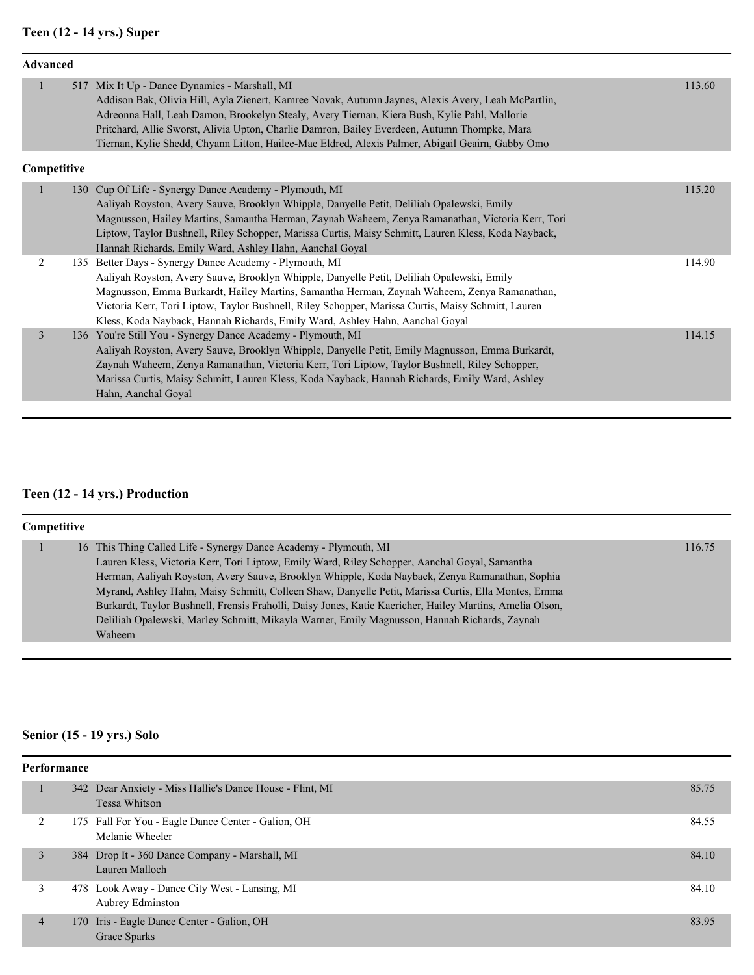## **Teen (12 - 14 yrs.) Super**

| <b>Advanced</b> |     |                                                                                                                                                                                                                                                                                                                                                                                                                                                         |        |
|-----------------|-----|---------------------------------------------------------------------------------------------------------------------------------------------------------------------------------------------------------------------------------------------------------------------------------------------------------------------------------------------------------------------------------------------------------------------------------------------------------|--------|
| $\mathbf{1}$    |     | 517 Mix It Up - Dance Dynamics - Marshall, MI<br>Addison Bak, Olivia Hill, Ayla Zienert, Kamree Novak, Autumn Jaynes, Alexis Avery, Leah McPartlin,<br>Adreonna Hall, Leah Damon, Brookelyn Stealy, Avery Tiernan, Kiera Bush, Kylie Pahl, Mallorie<br>Pritchard, Allie Sworst, Alivia Upton, Charlie Damron, Bailey Everdeen, Autumn Thompke, Mara<br>Tiernan, Kylie Shedd, Chyann Litton, Hailee-Mae Eldred, Alexis Palmer, Abigail Geairn, Gabby Omo | 113.60 |
| Competitive     |     |                                                                                                                                                                                                                                                                                                                                                                                                                                                         |        |
| $\mathbf{1}$    | 130 | Cup Of Life - Synergy Dance Academy - Plymouth, MI<br>Aaliyah Royston, Avery Sauve, Brooklyn Whipple, Danyelle Petit, Deliliah Opalewski, Emily<br>Magnusson, Hailey Martins, Samantha Herman, Zaynah Waheem, Zenya Ramanathan, Victoria Kerr, Tori<br>Liptow, Taylor Bushnell, Riley Schopper, Marissa Curtis, Maisy Schmitt, Lauren Kless, Koda Nayback,<br>Hannah Richards, Emily Ward, Ashley Hahn, Aanchal Goyal                                   | 115.20 |
| $\overline{2}$  |     | 135 Better Days - Synergy Dance Academy - Plymouth, MI<br>Aaliyah Royston, Avery Sauve, Brooklyn Whipple, Danyelle Petit, Deliliah Opalewski, Emily<br>Magnusson, Emma Burkardt, Hailey Martins, Samantha Herman, Zaynah Waheem, Zenya Ramanathan,<br>Victoria Kerr, Tori Liptow, Taylor Bushnell, Riley Schopper, Marissa Curtis, Maisy Schmitt, Lauren<br>Kless, Koda Nayback, Hannah Richards, Emily Ward, Ashley Hahn, Aanchal Goyal                | 114.90 |
| 3               |     | 136 You're Still You - Synergy Dance Academy - Plymouth, MI<br>Aaliyah Royston, Avery Sauve, Brooklyn Whipple, Danyelle Petit, Emily Magnusson, Emma Burkardt,<br>Zaynah Waheem, Zenya Ramanathan, Victoria Kerr, Tori Liptow, Taylor Bushnell, Riley Schopper,<br>Marissa Curtis, Maisy Schmitt, Lauren Kless, Koda Nayback, Hannah Richards, Emily Ward, Ashley<br>Hahn, Aanchal Goyal                                                                | 114.15 |

## **Teen (12 - 14 yrs.) Production**

| <b>Competitive</b> |  |                                                                                                          |        |  |  |
|--------------------|--|----------------------------------------------------------------------------------------------------------|--------|--|--|
|                    |  | 16 This Thing Called Life - Synergy Dance Academy - Plymouth, MI                                         | 116.75 |  |  |
|                    |  | Lauren Kless, Victoria Kerr, Tori Liptow, Emily Ward, Riley Schopper, Aanchal Goyal, Samantha            |        |  |  |
|                    |  | Herman, Aaliyah Royston, Avery Sauve, Brooklyn Whipple, Koda Nayback, Zenya Ramanathan, Sophia           |        |  |  |
|                    |  | Myrand, Ashley Hahn, Maisy Schmitt, Colleen Shaw, Danyelle Petit, Marissa Curtis, Ella Montes, Emma      |        |  |  |
|                    |  | Burkardt, Taylor Bushnell, Frensis Fraholli, Daisy Jones, Katie Kaericher, Hailey Martins, Amelia Olson, |        |  |  |
|                    |  | Deliliah Opalewski, Marley Schmitt, Mikayla Warner, Emily Magnusson, Hannah Richards, Zaynah             |        |  |  |
|                    |  | Waheem                                                                                                   |        |  |  |

## **Senior (15 - 19 yrs.) Solo**

| Performance |                |  |                                                                                  |       |
|-------------|----------------|--|----------------------------------------------------------------------------------|-------|
|             |                |  | 342 Dear Anxiety - Miss Hallie's Dance House - Flint, MI<br><b>Tessa Whitson</b> | 85.75 |
|             | 2              |  | 175 Fall For You - Eagle Dance Center - Galion, OH<br>Melanie Wheeler            | 84.55 |
|             | 3              |  | 384 Drop It - 360 Dance Company - Marshall, MI<br>Lauren Malloch                 | 84.10 |
|             |                |  | 478 Look Away - Dance City West - Lansing, MI<br>Aubrey Edminston                | 84.10 |
|             | $\overline{4}$ |  | 170 Iris - Eagle Dance Center - Galion, OH<br>Grace Sparks                       | 83.95 |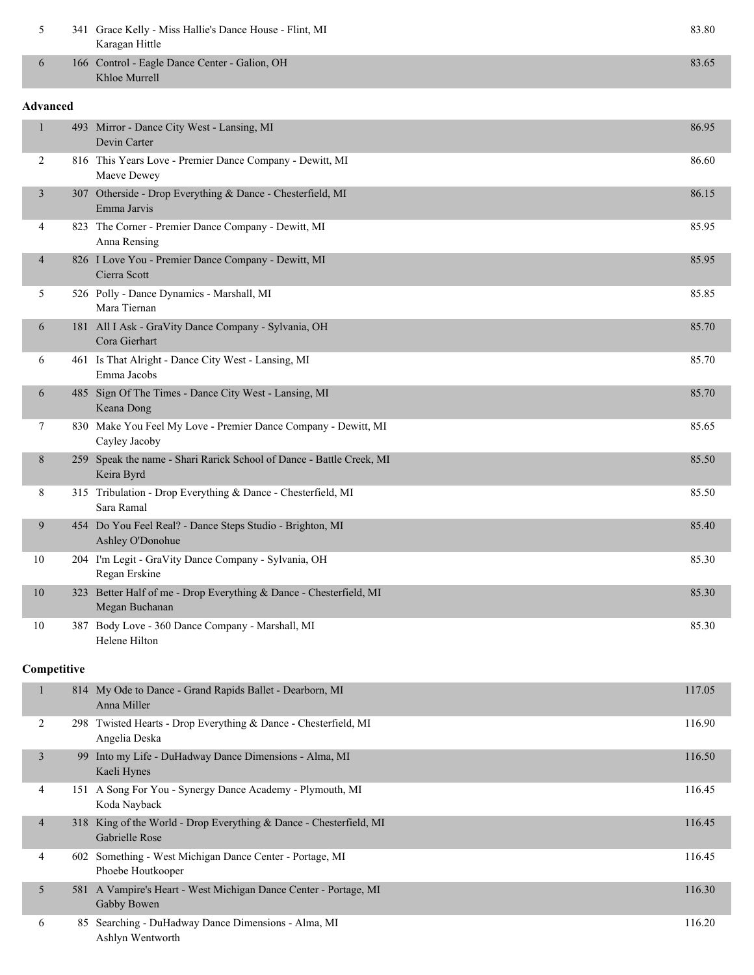| 5              |                 | 341 Grace Kelly - Miss Hallie's Dance House - Flint, MI<br>Karagan Hittle            | 83.80  |  |  |  |
|----------------|-----------------|--------------------------------------------------------------------------------------|--------|--|--|--|
| 6              |                 | 166 Control - Eagle Dance Center - Galion, OH<br>Khloe Murrell                       | 83.65  |  |  |  |
|                | <b>Advanced</b> |                                                                                      |        |  |  |  |
| $\mathbf{1}$   |                 | 493 Mirror - Dance City West - Lansing, MI<br>Devin Carter                           | 86.95  |  |  |  |
| 2              |                 | 816 This Years Love - Premier Dance Company - Dewitt, MI<br>Maeve Dewey              | 86.60  |  |  |  |
| $\mathfrak{Z}$ |                 | 307 Otherside - Drop Everything & Dance - Chesterfield, MI<br>Emma Jarvis            | 86.15  |  |  |  |
| 4              |                 | 823 The Corner - Premier Dance Company - Dewitt, MI<br>Anna Rensing                  | 85.95  |  |  |  |
| 4              |                 | 826 I Love You - Premier Dance Company - Dewitt, MI<br>Cierra Scott                  | 85.95  |  |  |  |
| 5              |                 | 526 Polly - Dance Dynamics - Marshall, MI<br>Mara Tiernan                            | 85.85  |  |  |  |
| 6              |                 | 181 All I Ask - GraVity Dance Company - Sylvania, OH<br>Cora Gierhart                | 85.70  |  |  |  |
| 6              |                 | 461 Is That Alright - Dance City West - Lansing, MI<br>Emma Jacobs                   | 85.70  |  |  |  |
| 6              |                 | 485 Sign Of The Times - Dance City West - Lansing, MI<br>Keana Dong                  | 85.70  |  |  |  |
| 7              |                 | 830 Make You Feel My Love - Premier Dance Company - Dewitt, MI<br>Cayley Jacoby      | 85.65  |  |  |  |
| 8              |                 | 259 Speak the name - Shari Rarick School of Dance - Battle Creek, MI<br>Keira Byrd   | 85.50  |  |  |  |
| 8              |                 | 315 Tribulation - Drop Everything & Dance - Chesterfield, MI<br>Sara Ramal           | 85.50  |  |  |  |
| 9              |                 | 454 Do You Feel Real? - Dance Steps Studio - Brighton, MI<br>Ashley O'Donohue        | 85.40  |  |  |  |
| 10             |                 | 204 I'm Legit - GraVity Dance Company - Sylvania, OH<br>Regan Erskine                | 85.30  |  |  |  |
| 10             |                 | 323 Better Half of me - Drop Everything & Dance - Chesterfield, MI<br>Megan Buchanan | 85.30  |  |  |  |
| 10             |                 | 387 Body Love - 360 Dance Company - Marshall, MI<br>Helene Hilton                    | 85.30  |  |  |  |
| Competitive    |                 |                                                                                      |        |  |  |  |
| 1              |                 | 814 My Ode to Dance - Grand Rapids Ballet - Dearborn, MI<br>Anna Miller              | 117.05 |  |  |  |
| 2              |                 | 298 Twisted Hearts - Drop Everything & Dance - Chesterfield, MI<br>Angelia Deska     | 116.90 |  |  |  |
| $\mathfrak{Z}$ |                 | 99 Into my Life - DuHadway Dance Dimensions - Alma, MI<br>Kaeli Hynes                | 116.50 |  |  |  |
| 4              |                 | 151 A Song For You - Synergy Dance Academy - Plymouth, MI<br>Koda Nayback            | 116.45 |  |  |  |
| 4              |                 | 318 King of the World - Drop Everything & Dance - Chesterfield, MI<br>Gabrielle Rose | 116.45 |  |  |  |
| 4              |                 | 602 Something - West Michigan Dance Center - Portage, MI<br>Phoebe Houtkooper        | 116.45 |  |  |  |
| 5              |                 | 581 A Vampire's Heart - West Michigan Dance Center - Portage, MI<br>Gabby Bowen      | 116.30 |  |  |  |
| 6              |                 | 85 Searching - DuHadway Dance Dimensions - Alma, MI<br>Ashlyn Wentworth              | 116.20 |  |  |  |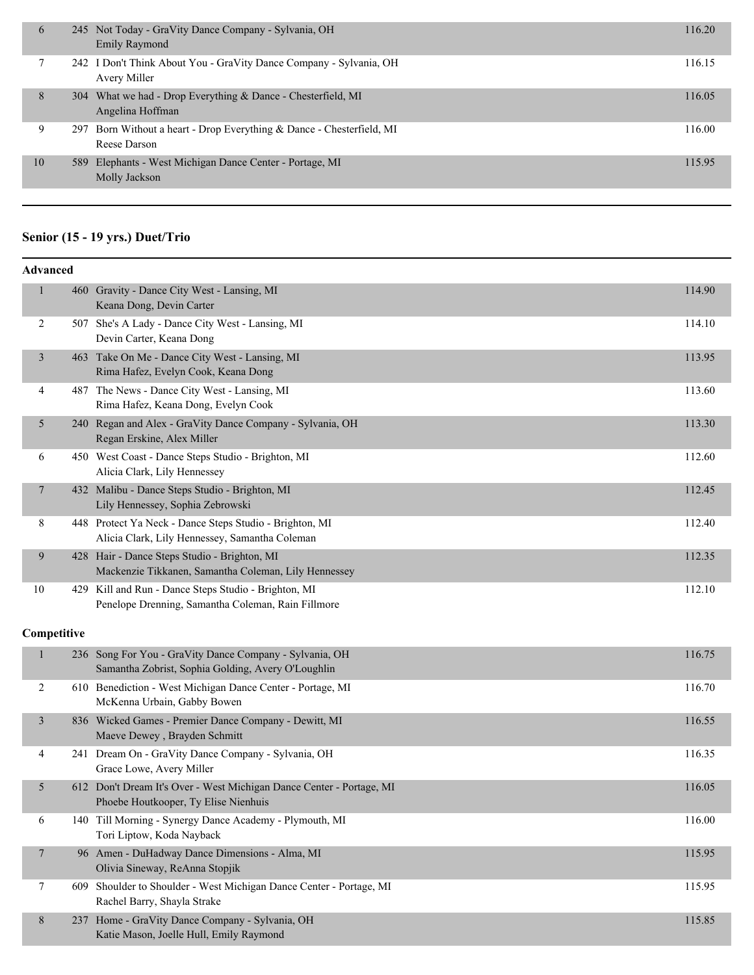| $\mathfrak b$ | 245 Not Today - GraVity Dance Company - Sylvania, OH<br><b>Emily Raymond</b>          | 116.20 |
|---------------|---------------------------------------------------------------------------------------|--------|
|               | 242 I Don't Think About You - GraVity Dance Company - Sylvania, OH<br>Avery Miller    | 116.15 |
| 8             | 304 What we had - Drop Everything & Dance - Chesterfield, MI<br>Angelina Hoffman      | 116.05 |
| 9             | 297 Born Without a heart - Drop Everything & Dance - Chesterfield, MI<br>Reese Darson | 116.00 |
| 10            | 589 Elephants - West Michigan Dance Center - Portage, MI<br>Molly Jackson             | 115.95 |

## **Senior (15 - 19 yrs.) Duet/Trio**

|                | <b>Advanced</b> |                                                                                                               |        |  |  |  |
|----------------|-----------------|---------------------------------------------------------------------------------------------------------------|--------|--|--|--|
| 1              |                 | 460 Gravity - Dance City West - Lansing, MI<br>Keana Dong, Devin Carter                                       | 114.90 |  |  |  |
| 2              | 507             | She's A Lady - Dance City West - Lansing, MI<br>Devin Carter, Keana Dong                                      | 114.10 |  |  |  |
| $\overline{3}$ | 463             | Take On Me - Dance City West - Lansing, MI<br>Rima Hafez, Evelyn Cook, Keana Dong                             | 113.95 |  |  |  |
| 4              | 487             | The News - Dance City West - Lansing, MI<br>Rima Hafez, Keana Dong, Evelyn Cook                               | 113.60 |  |  |  |
| 5              | 240             | Regan and Alex - GraVity Dance Company - Sylvania, OH<br>Regan Erskine, Alex Miller                           | 113.30 |  |  |  |
| 6              |                 | 450 West Coast - Dance Steps Studio - Brighton, MI<br>Alicia Clark, Lily Hennessey                            | 112.60 |  |  |  |
| $\tau$         | 432             | Malibu - Dance Steps Studio - Brighton, MI<br>Lily Hennessey, Sophia Zebrowski                                | 112.45 |  |  |  |
| 8              |                 | 448 Protect Ya Neck - Dance Steps Studio - Brighton, MI<br>Alicia Clark, Lily Hennessey, Samantha Coleman     | 112.40 |  |  |  |
| 9              | 428             | Hair - Dance Steps Studio - Brighton, MI<br>Mackenzie Tikkanen, Samantha Coleman, Lily Hennessey              | 112.35 |  |  |  |
| 10             | 429             | Kill and Run - Dance Steps Studio - Brighton, MI<br>Penelope Drenning, Samantha Coleman, Rain Fillmore        | 112.10 |  |  |  |
| Competitive    |                 |                                                                                                               |        |  |  |  |
| $\mathbf{1}$   |                 | 236 Song For You - GraVity Dance Company - Sylvania, OH<br>Samantha Zobrist, Sophia Golding, Avery O'Loughlin | 116.75 |  |  |  |

| 2              | Benediction - West Michigan Dance Center - Portage, MI<br>610<br>McKenna Urbain, Gabby Bowen                 | 116.70 |
|----------------|--------------------------------------------------------------------------------------------------------------|--------|
| $\overline{3}$ | 836 Wicked Games - Premier Dance Company - Dewitt, MI<br>Maeve Dewey, Brayden Schmitt                        | 116.55 |
| 4              | 241 Dream On - GraVity Dance Company - Sylvania, OH<br>Grace Lowe, Avery Miller                              | 116.35 |
| 5              | 612 Don't Dream It's Over - West Michigan Dance Center - Portage, MI<br>Phoebe Houtkooper, Ty Elise Nienhuis | 116.05 |
| 6              | Till Morning - Synergy Dance Academy - Plymouth, MI<br>140<br>Tori Liptow, Koda Nayback                      | 116.00 |
| $7^{\circ}$    | 96 Amen - DuHadway Dance Dimensions - Alma, MI<br>Olivia Sineway, ReAnna Stopjik                             | 115.95 |
|                | Shoulder to Shoulder - West Michigan Dance Center - Portage, MI<br>609<br>Rachel Barry, Shayla Strake        | 115.95 |
| 8              | Home - GraVity Dance Company - Sylvania, OH<br>237<br>Katie Mason, Joelle Hull, Emily Raymond                | 115.85 |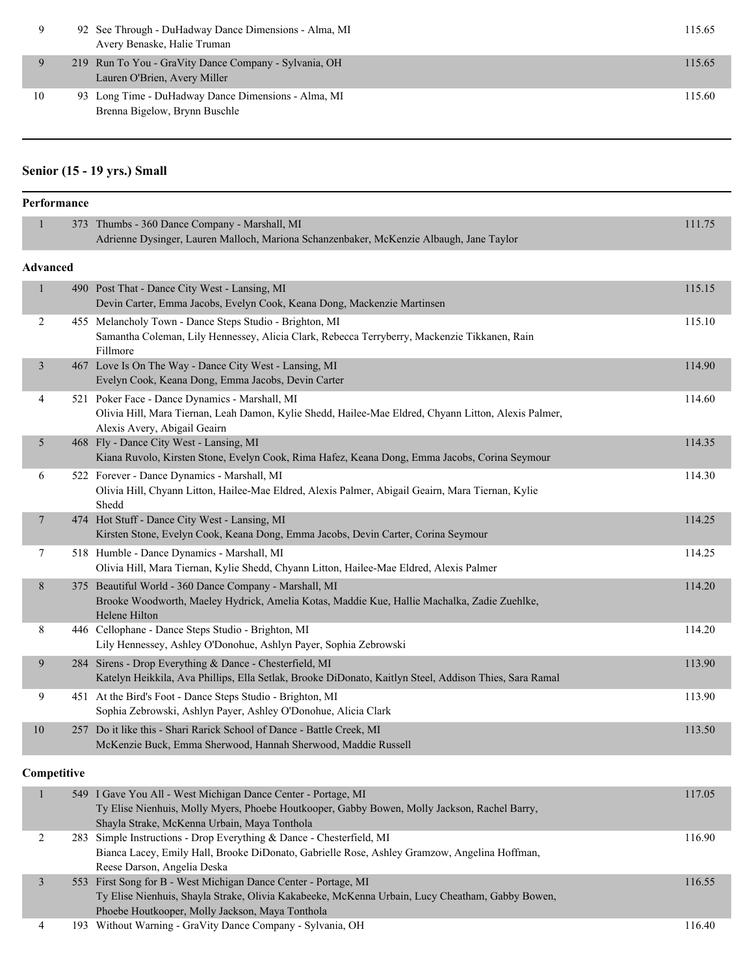|    | 92 See Through - DuHadway Dance Dimensions - Alma, MI<br>Avery Benaske, Halie Truman  | 115.65 |
|----|---------------------------------------------------------------------------------------|--------|
|    | 219 Run To You - GraVity Dance Company - Sylvania, OH<br>Lauren O'Brien, Avery Miller | 115.65 |
| 10 | 93 Long Time - DuHadway Dance Dimensions - Alma, MI<br>Brenna Bigelow, Brynn Buschle  | 115.60 |

## **Senior (15 - 19 yrs.) Small**

| Performance    |                 |                                                                                                                                                                                                                       |        |
|----------------|-----------------|-----------------------------------------------------------------------------------------------------------------------------------------------------------------------------------------------------------------------|--------|
| $\mathbf{1}$   |                 | 373 Thumbs - 360 Dance Company - Marshall, MI<br>Adrienne Dysinger, Lauren Malloch, Mariona Schanzenbaker, McKenzie Albaugh, Jane Taylor                                                                              | 111.75 |
|                | <b>Advanced</b> |                                                                                                                                                                                                                       |        |
| $\mathbf{1}$   |                 | 490 Post That - Dance City West - Lansing, MI<br>Devin Carter, Emma Jacobs, Evelyn Cook, Keana Dong, Mackenzie Martinsen                                                                                              | 115.15 |
| 2              |                 | 455 Melancholy Town - Dance Steps Studio - Brighton, MI<br>Samantha Coleman, Lily Hennessey, Alicia Clark, Rebecca Terryberry, Mackenzie Tikkanen, Rain<br>Fillmore                                                   | 115.10 |
| 3              |                 | 467 Love Is On The Way - Dance City West - Lansing, MI<br>Evelyn Cook, Keana Dong, Emma Jacobs, Devin Carter                                                                                                          | 114.90 |
| 4              |                 | 521 Poker Face - Dance Dynamics - Marshall, MI<br>Olivia Hill, Mara Tiernan, Leah Damon, Kylie Shedd, Hailee-Mae Eldred, Chyann Litton, Alexis Palmer,<br>Alexis Avery, Abigail Geairn                                | 114.60 |
| 5              |                 | 468 Fly - Dance City West - Lansing, MI<br>Kiana Ruvolo, Kirsten Stone, Evelyn Cook, Rima Hafez, Keana Dong, Emma Jacobs, Corina Seymour                                                                              | 114.35 |
| 6              |                 | 522 Forever - Dance Dynamics - Marshall, MI<br>Olivia Hill, Chyann Litton, Hailee-Mae Eldred, Alexis Palmer, Abigail Geairn, Mara Tiernan, Kylie<br>Shedd                                                             | 114.30 |
| 7              |                 | 474 Hot Stuff - Dance City West - Lansing, MI<br>Kirsten Stone, Evelyn Cook, Keana Dong, Emma Jacobs, Devin Carter, Corina Seymour                                                                                    | 114.25 |
| 7              |                 | 518 Humble - Dance Dynamics - Marshall, MI<br>Olivia Hill, Mara Tiernan, Kylie Shedd, Chyann Litton, Hailee-Mae Eldred, Alexis Palmer                                                                                 | 114.25 |
| 8              |                 | 375 Beautiful World - 360 Dance Company - Marshall, MI<br>Brooke Woodworth, Maeley Hydrick, Amelia Kotas, Maddie Kue, Hallie Machalka, Zadie Zuehlke,<br>Helene Hilton                                                | 114.20 |
| 8              |                 | 446 Cellophane - Dance Steps Studio - Brighton, MI<br>Lily Hennessey, Ashley O'Donohue, Ashlyn Payer, Sophia Zebrowski                                                                                                | 114.20 |
| 9              |                 | 284 Sirens - Drop Everything & Dance - Chesterfield, MI<br>Katelyn Heikkila, Ava Phillips, Ella Setlak, Brooke DiDonato, Kaitlyn Steel, Addison Thies, Sara Ramal                                                     | 113.90 |
| 9              |                 | 451 At the Bird's Foot - Dance Steps Studio - Brighton, MI<br>Sophia Zebrowski, Ashlyn Payer, Ashley O'Donohue, Alicia Clark                                                                                          | 113.90 |
| 10             |                 | 257 Do it like this - Shari Rarick School of Dance - Battle Creek, MI<br>McKenzie Buck, Emma Sherwood, Hannah Sherwood, Maddie Russell                                                                                | 113.50 |
|                | Competitive     |                                                                                                                                                                                                                       |        |
| $\mathbf{1}$   |                 | 549 I Gave You All - West Michigan Dance Center - Portage, MI<br>Ty Elise Nienhuis, Molly Myers, Phoebe Houtkooper, Gabby Bowen, Molly Jackson, Rachel Barry,<br>Shayla Strake, McKenna Urbain, Maya Tonthola         | 117.05 |
| $\overline{c}$ |                 | 283 Simple Instructions - Drop Everything & Dance - Chesterfield, MI<br>Bianca Lacey, Emily Hall, Brooke DiDonato, Gabrielle Rose, Ashley Gramzow, Angelina Hoffman,<br>Reese Darson, Angelia Deska                   | 116.90 |
| $\mathfrak{Z}$ |                 | 553 First Song for B - West Michigan Dance Center - Portage, MI<br>Ty Elise Nienhuis, Shayla Strake, Olivia Kakabeeke, McKenna Urbain, Lucy Cheatham, Gabby Bowen,<br>Phoebe Houtkooper, Molly Jackson, Maya Tonthola | 116.55 |
| 4              |                 | 193 Without Warning - GraVity Dance Company - Sylvania, OH                                                                                                                                                            | 116.40 |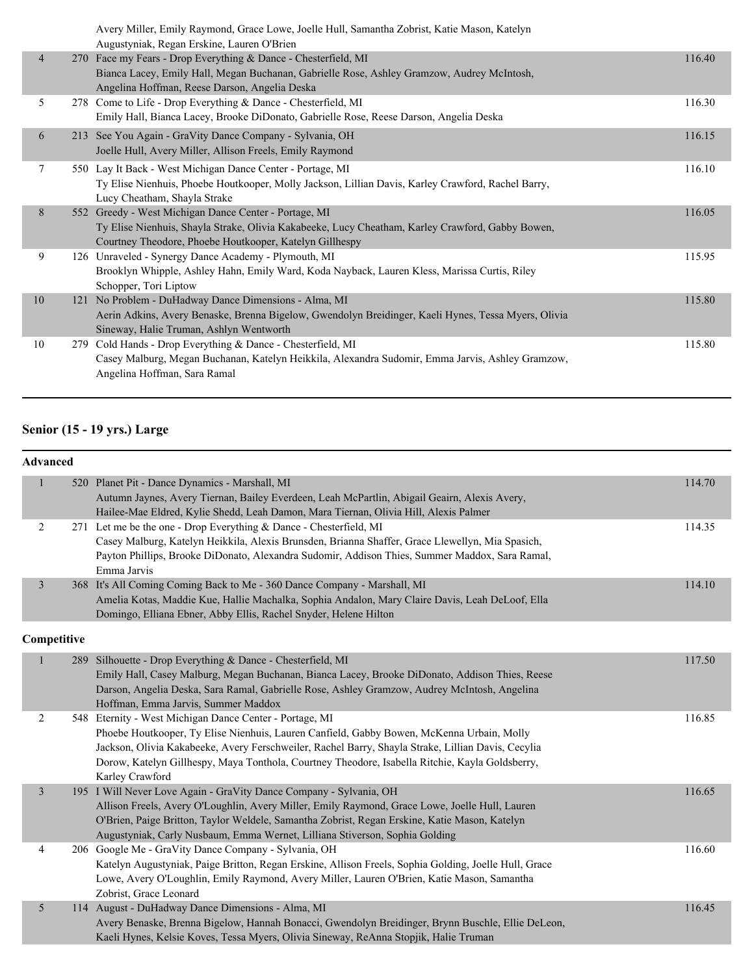|                | Avery Miller, Emily Raymond, Grace Lowe, Joelle Hull, Samantha Zobrist, Katie Mason, Katelyn<br>Augustyniak, Regan Erskine, Lauren O'Brien |        |
|----------------|--------------------------------------------------------------------------------------------------------------------------------------------|--------|
| $\overline{4}$ | 270 Face my Fears - Drop Everything & Dance - Chesterfield, MI                                                                             | 116.40 |
|                | Bianca Lacey, Emily Hall, Megan Buchanan, Gabrielle Rose, Ashley Gramzow, Audrey McIntosh,                                                 |        |
| 5              | Angelina Hoffman, Reese Darson, Angelia Deska<br>278 Come to Life - Drop Everything & Dance - Chesterfield, MI                             | 116.30 |
|                | Emily Hall, Bianca Lacey, Brooke DiDonato, Gabrielle Rose, Reese Darson, Angelia Deska                                                     |        |
| 6              | 213 See You Again - GraVity Dance Company - Sylvania, OH                                                                                   | 116.15 |
|                | Joelle Hull, Avery Miller, Allison Freels, Emily Raymond                                                                                   |        |
| 7              | 550 Lay It Back - West Michigan Dance Center - Portage, MI                                                                                 | 116.10 |
|                | Ty Elise Nienhuis, Phoebe Houtkooper, Molly Jackson, Lillian Davis, Karley Crawford, Rachel Barry,                                         |        |
|                | Lucy Cheatham, Shayla Strake                                                                                                               |        |
| 8              | 552 Greedy - West Michigan Dance Center - Portage, MI                                                                                      | 116.05 |
|                | Ty Elise Nienhuis, Shayla Strake, Olivia Kakabeeke, Lucy Cheatham, Karley Crawford, Gabby Bowen,                                           |        |
|                | Courtney Theodore, Phoebe Houtkooper, Katelyn Gillhespy                                                                                    |        |
| 9              | 126 Unraveled - Synergy Dance Academy - Plymouth, MI                                                                                       | 115.95 |
|                | Brooklyn Whipple, Ashley Hahn, Emily Ward, Koda Nayback, Lauren Kless, Marissa Curtis, Riley                                               |        |
|                | Schopper, Tori Liptow                                                                                                                      |        |
| 10             | 121 No Problem - DuHadway Dance Dimensions - Alma, MI                                                                                      | 115.80 |
|                | Aerin Adkins, Avery Benaske, Brenna Bigelow, Gwendolyn Breidinger, Kaeli Hynes, Tessa Myers, Olivia                                        |        |
|                | Sineway, Halie Truman, Ashlyn Wentworth                                                                                                    |        |
| 10             | 279 Cold Hands - Drop Everything & Dance - Chesterfield, MI                                                                                | 115.80 |
|                | Casey Malburg, Megan Buchanan, Katelyn Heikkila, Alexandra Sudomir, Emma Jarvis, Ashley Gramzow,                                           |        |
|                | Angelina Hoffman, Sara Ramal                                                                                                               |        |
|                |                                                                                                                                            |        |

## **Senior (15 - 19 yrs.) Large**

|                | Advanced |                                                                                                       |        |
|----------------|----------|-------------------------------------------------------------------------------------------------------|--------|
| $\mathbf{1}$   |          | 520 Planet Pit - Dance Dynamics - Marshall, MI                                                        | 114.70 |
|                |          | Autumn Jaynes, Avery Tiernan, Bailey Everdeen, Leah McPartlin, Abigail Geairn, Alexis Avery,          |        |
|                |          | Hailee-Mae Eldred, Kylie Shedd, Leah Damon, Mara Tiernan, Olivia Hill, Alexis Palmer                  |        |
| $\overline{2}$ |          | 271 Let me be the one - Drop Everything & Dance - Chesterfield, MI                                    | 114.35 |
|                |          | Casey Malburg, Katelyn Heikkila, Alexis Brunsden, Brianna Shaffer, Grace Llewellyn, Mia Spasich,      |        |
|                |          | Payton Phillips, Brooke DiDonato, Alexandra Sudomir, Addison Thies, Summer Maddox, Sara Ramal,        |        |
|                |          | Emma Jarvis                                                                                           |        |
| 3              |          | 368 It's All Coming Coming Back to Me - 360 Dance Company - Marshall, MI                              | 114.10 |
|                |          | Amelia Kotas, Maddie Kue, Hallie Machalka, Sophia Andalon, Mary Claire Davis, Leah DeLoof, Ella       |        |
|                |          | Domingo, Elliana Ebner, Abby Ellis, Rachel Snyder, Helene Hilton                                      |        |
| Competitive    |          |                                                                                                       |        |
| $\mathbf{1}$   |          | 289 Silhouette - Drop Everything & Dance - Chesterfield, MI                                           | 117.50 |
|                |          | Emily Hall, Casey Malburg, Megan Buchanan, Bianca Lacey, Brooke DiDonato, Addison Thies, Reese        |        |
|                |          | Darson, Angelia Deska, Sara Ramal, Gabrielle Rose, Ashley Gramzow, Audrey McIntosh, Angelina          |        |
|                |          | Hoffman, Emma Jarvis, Summer Maddox                                                                   |        |
| 2              |          | 548 Eternity - West Michigan Dance Center - Portage, MI                                               | 116.85 |
|                |          | Phoebe Houtkooper, Ty Elise Nienhuis, Lauren Canfield, Gabby Bowen, McKenna Urbain, Molly             |        |
|                |          | Jackson, Olivia Kakabeeke, Avery Ferschweiler, Rachel Barry, Shayla Strake, Lillian Davis, Cecylia    |        |
|                |          | Dorow, Katelyn Gillhespy, Maya Tonthola, Courtney Theodore, Isabella Ritchie, Kayla Goldsberry,       |        |
|                |          | Karley Crawford                                                                                       |        |
| $\mathfrak{Z}$ |          | 195 I Will Never Love Again - GraVity Dance Company - Sylvania, OH                                    | 116.65 |
|                |          | Allison Freels, Avery O'Loughlin, Avery Miller, Emily Raymond, Grace Lowe, Joelle Hull, Lauren        |        |
|                |          | O'Brien, Paige Britton, Taylor Weldele, Samantha Zobrist, Regan Erskine, Katie Mason, Katelyn         |        |
|                |          | Augustyniak, Carly Nusbaum, Emma Wernet, Lilliana Stiverson, Sophia Golding                           |        |
| 4              |          | 206 Google Me - GraVity Dance Company - Sylvania, OH                                                  | 116.60 |
|                |          | Katelyn Augustyniak, Paige Britton, Regan Erskine, Allison Freels, Sophia Golding, Joelle Hull, Grace |        |
|                |          | Lowe, Avery O'Loughlin, Emily Raymond, Avery Miller, Lauren O'Brien, Katie Mason, Samantha            |        |
|                |          | Zobrist, Grace Leonard                                                                                |        |
| 5              |          | 114 August - DuHadway Dance Dimensions - Alma, MI                                                     | 116.45 |
|                |          | Avery Benaske, Brenna Bigelow, Hannah Bonacci, Gwendolyn Breidinger, Brynn Buschle, Ellie DeLeon,     |        |
|                |          | Kaeli Hynes, Kelsie Koves, Tessa Myers, Olivia Sineway, ReAnna Stopjik, Halie Truman                  |        |